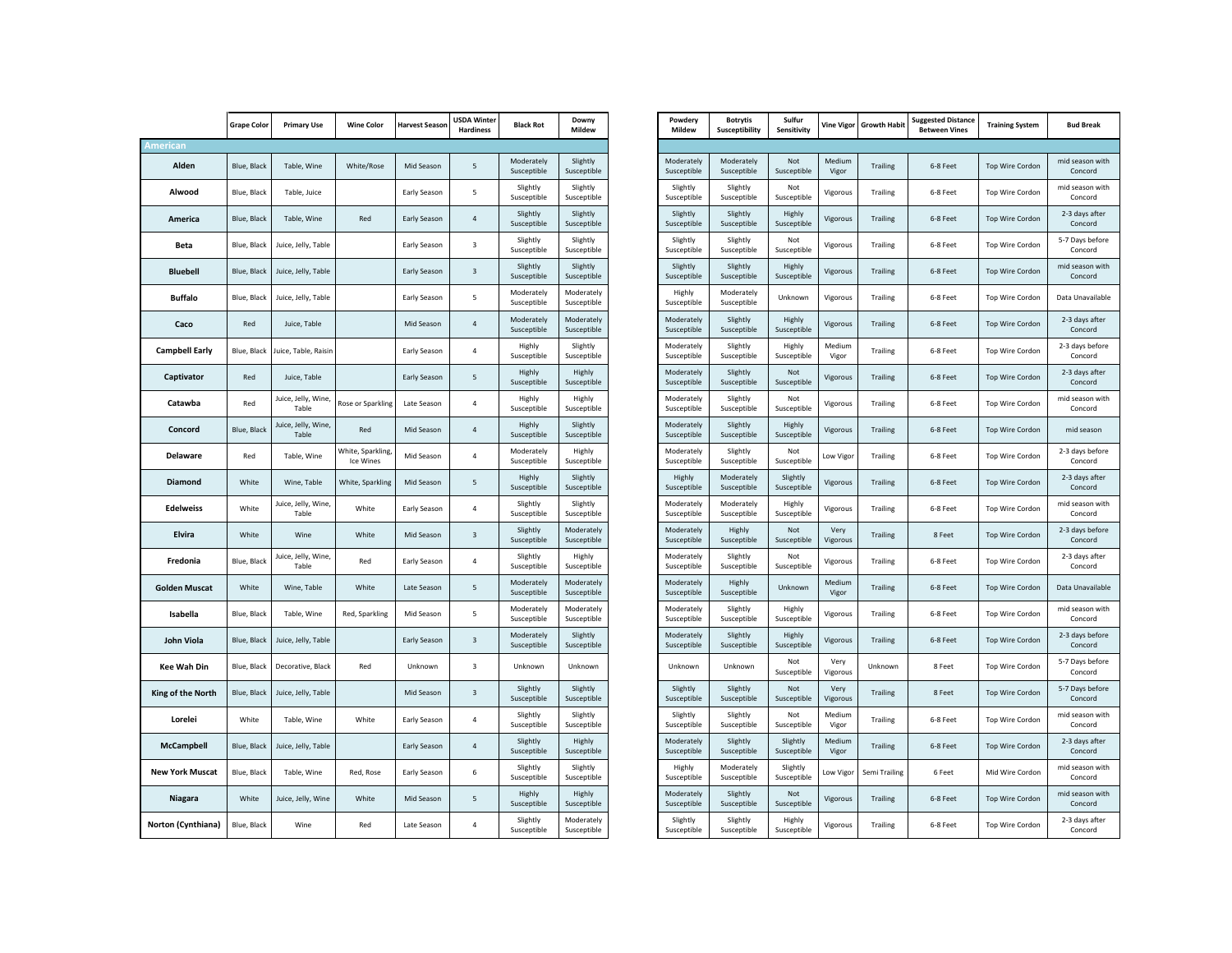| <b>American</b>        | <b>Grape Color</b> | <b>Primary Use</b>           | <b>Wine Color</b>              | <b>Harvest Season</b> | <b>USDA Winter</b><br><b>Hardiness</b> | <b>Black Rot</b>          | Downy                     | Powdery                   | <b>Botrytis</b>           | Sulfu               |
|------------------------|--------------------|------------------------------|--------------------------------|-----------------------|----------------------------------------|---------------------------|---------------------------|---------------------------|---------------------------|---------------------|
|                        |                    |                              |                                |                       |                                        |                           | Mildew                    | Mildew                    | Susceptibility            | Sensitiv            |
|                        |                    |                              |                                |                       |                                        |                           |                           |                           |                           |                     |
| Alden                  | Blue, Black        | Table, Wine                  | White/Rose                     | Mid Season            | 5                                      | Moderately<br>Susceptible | Slightly<br>Susceptible   | Moderately<br>Susceptible | Moderately<br>Susceptible | Not<br>Suscepti     |
| Alwood                 | Blue, Black        | Table, Juice                 |                                | Early Season          | 5                                      | Slightly<br>Susceptible   | Slightly<br>Susceptible   | Slightly<br>Susceptible   | Slightly<br>Susceptible   | Not<br>Suscepti     |
| America                | Blue, Black        | Table, Wine                  | Red                            | Early Season          | $\sqrt{4}$                             | Slightly<br>Susceptible   | Slightly<br>Susceptible   | Slightly<br>Susceptible   | Slightly<br>Susceptible   | Highly<br>Suscepti  |
| Beta                   | Blue, Black        | Juice, Jelly, Table          |                                | Early Season          | 3                                      | Slightly<br>Susceptible   | Slightly<br>Susceptible   | Slightly<br>Susceptible   | Slightly<br>Susceptible   | Not<br>Suscepti     |
| <b>Bluebell</b>        | Blue, Black        | Juice, Jelly, Table          |                                | Early Season          | 3                                      | Slightly<br>Susceptible   | Slightly<br>Susceptible   | Slightly<br>Susceptible   | Slightly<br>Susceptible   | Highly<br>Suscepti  |
| <b>Buffalo</b>         | Blue, Black        | Juice, Jelly, Table          |                                | Early Season          | 5                                      | Moderately<br>Susceptible | Moderately<br>Susceptible | Highly<br>Susceptible     | Moderately<br>Susceptible | Unknoy              |
| Caco                   | Red                | Juice, Table                 |                                | Mid Season            | $\overline{4}$                         | Moderately<br>Susceptible | Moderately<br>Susceptible | Moderately<br>Susceptible | Slightly<br>Susceptible   | Highly<br>Suscepti  |
| <b>Campbell Early</b>  | Blue, Black        | Juice, Table, Raisin         |                                | Early Season          | 4                                      | Highly<br>Susceptible     | Slightly<br>Susceptible   | Moderately<br>Susceptible | Slightly<br>Susceptible   | Highly<br>Suscepti  |
| Captivator             | Red                | Juice, Table                 |                                | Early Season          | 5                                      | Highly<br>Susceptible     | Highly<br>Susceptible     | Moderately<br>Susceptible | Slightly<br>Susceptible   | Not<br>Suscepti     |
| Catawba                | Red                | Juice, Jelly, Wine,<br>Table | Rose or Sparkling              | Late Season           | 4                                      | Highly<br>Susceptible     | Highly<br>Susceptible     | Moderately<br>Susceptible | Slightly<br>Susceptible   | Not<br>Suscepti     |
| Concord                | Blue, Black        | Juice, Jelly, Wine,<br>Table | Red                            | Mid Season            | 4                                      | Highly<br>Susceptible     | Slightly<br>Susceptible   | Moderately<br>Susceptible | Slightly<br>Susceptible   | Highly<br>Suscepti  |
| Delaware               | Red                | Table, Wine                  | White, Sparkling,<br>Ice Wines | Mid Season            | 4                                      | Moderately<br>Susceptible | Highly<br>Susceptible     | Moderately<br>Susceptible | Slightly<br>Susceptible   | Not<br>Suscepti     |
| <b>Diamond</b>         | White              | Wine, Table                  | White, Sparkling               | Mid Season            | 5                                      | Highly<br>Susceptible     | Slightly<br>Susceptible   | Highly<br>Susceptible     | Moderately<br>Susceptible | Slightl<br>Suscepti |
| <b>Edelweiss</b>       | White              | Juice, Jelly, Wine,<br>Table | White                          | Early Season          | 4                                      | Slightly<br>Susceptible   | Slightly<br>Susceptible   | Moderately<br>Susceptible | Moderately<br>Susceptible | Highly<br>Suscepti  |
| Elvira                 | White              | Wine                         | White                          | Mid Season            | 3                                      | Slightly<br>Susceptible   | Moderately<br>Susceptible | Moderately<br>Susceptible | Highly<br>Susceptible     | Not<br>Suscepti     |
| Fredonia               | Blue, Black        | Juice, Jelly, Wine,<br>Table | Red                            | Early Season          | 4                                      | Slightly<br>Susceptible   | Highly<br>Susceptible     | Moderately<br>Susceptible | Slightly<br>Susceptible   | Not<br>Suscepti     |
| <b>Golden Muscat</b>   | White              | Wine, Table                  | White                          | Late Season           | 5                                      | Moderately<br>Susceptible | Moderately<br>Susceptible | Moderately<br>Susceptible | Highly<br>Susceptible     | Unknoy              |
| Isabella               | Blue, Black        | Table, Wine                  | Red, Sparkling                 | Mid Season            | 5                                      | Moderately<br>Susceptible | Moderately<br>Susceptible | Moderately<br>Susceptible | Slightly<br>Susceptible   | Highly<br>Suscepti  |
| John Viola             | Blue, Black        | Juice, Jelly, Table          |                                | Early Season          | 3                                      | Moderately<br>Susceptible | Slightly<br>Susceptible   | Moderately<br>Susceptible | Slightly<br>Susceptible   | Highly<br>Suscepti  |
| <b>Kee Wah Din</b>     | Blue, Black        | Decorative, Black            | Red                            | Unknown               | 3                                      | Unknown                   | Unknown                   | Unknown                   | Unknown                   | Not<br>Suscepti     |
| King of the North      | Blue, Black        | Juice, Jelly, Table          |                                | Mid Season            | 3                                      | Slightly<br>Susceptible   | Slightly<br>Susceptible   | Slightly<br>Susceptible   | Slightly<br>Susceptible   | Not<br>Suscepti     |
| Lorelei                | White              | Table, Wine                  | White                          | Early Season          | $\overline{4}$                         | Slightly<br>Susceptible   | Slightly<br>Susceptible   | Slightly<br>Susceptible   | Slightly<br>Susceptible   | Not<br>Suscepti     |
| <b>McCampbell</b>      | Blue, Black        | Juice, Jelly, Table          |                                | Early Season          | $\sqrt{4}$                             | Slightly<br>Susceptible   | Highly<br>Susceptible     | Moderately<br>Susceptible | Slightly<br>Susceptible   | Slightl<br>Suscepti |
| <b>New York Muscat</b> | Blue, Black        | Table, Wine                  | Red, Rose                      | Early Season          | 6                                      | Slightly<br>Susceptible   | Slightly<br>Susceptible   | Highly<br>Susceptible     | Moderately<br>Susceptible | Slightl<br>Suscepti |
| Niagara                | White              | Juice, Jelly, Wine           | White                          | Mid Season            | 5                                      | Highly<br>Susceptible     | Highly<br>Susceptible     | Moderately<br>Susceptible | Slightly<br>Susceptible   | Not<br>Suscepti     |
| Norton (Cynthiana)     | Blue, Black        | Wine                         | Red                            | Late Season           | 4                                      | Slightly<br>Susceptible   | Moderately<br>Susceptible | Slightly<br>Susceptible   | Slightly<br>Susceptible   | Highly<br>Suscepti  |

| Powdery<br>Mildew         | <b>Botrytis</b><br>Susceptibility | Sulfur<br>Sensitivity   | <b>Vine Vigor</b> | <b>Growth Habit</b> | <b>Suggested Distance</b><br><b>Between Vines</b> | <b>Training System</b> | <b>Bud Break</b>           |
|---------------------------|-----------------------------------|-------------------------|-------------------|---------------------|---------------------------------------------------|------------------------|----------------------------|
|                           |                                   |                         |                   |                     |                                                   |                        |                            |
| Moderately<br>Susceptible | Moderately<br>Susceptible         | Not<br>Susceptible      | Medium<br>Vigor   | <b>Trailing</b>     | 6-8 Feet                                          | Top Wire Cordon        | mid season with<br>Concord |
| Slightly<br>Susceptible   | Slightly<br>Susceptible           | Not<br>Susceptible      | Vigorous          | Trailing            | 6-8 Feet                                          | Top Wire Cordon        | mid season with<br>Concord |
| Slightly<br>Susceptible   | Slightly<br>Susceptible           | Highly<br>Susceptible   | Vigorous          | <b>Trailing</b>     | 6-8 Feet                                          | Top Wire Cordon        | 2-3 days after<br>Concord  |
| Slightly<br>Susceptible   | Slightly<br>Susceptible           | Not<br>Susceptible      | Vigorous          | Trailing            | 6-8 Feet                                          | Top Wire Cordon        | 5-7 Days before<br>Concord |
| Slightly<br>Susceptible   | Slightly<br>Susceptible           | Highly<br>Susceptible   | Vigorous          | <b>Trailing</b>     | 6-8 Feet                                          | Top Wire Cordon        | mid season with<br>Concord |
| Highly<br>Susceptible     | Moderately<br>Susceptible         | Unknown                 | Vigorous          | Trailing            | 6-8 Feet                                          | Top Wire Cordon        | Data Unavailable           |
| Moderately<br>Susceptible | Slightly<br>Susceptible           | Highly<br>Susceptible   | Vigorous          | Trailing            | 6-8 Feet                                          | Top Wire Cordon        | 2-3 days after<br>Concord  |
| Moderately<br>Susceptible | Slightly<br>Susceptible           | Highly<br>Susceptible   | Medium<br>Vigor   | Trailing            | 6-8 Feet                                          | Top Wire Cordon        | 2-3 days before<br>Concord |
| Moderately<br>Susceptible | Slightly<br>Susceptible           | Not<br>Susceptible      | Vigorous          | <b>Trailing</b>     | 6-8 Feet                                          | Top Wire Cordon        | 2-3 days after<br>Concord  |
| Moderately<br>Susceptible | Slightly<br>Susceptible           | Not<br>Susceptible      | Vigorous          | Trailing            | 6-8 Feet                                          | Top Wire Cordon        | mid season with<br>Concord |
| Moderately<br>Susceptible | Slightly<br>Susceptible           | Highly<br>Susceptible   | Vigorous          | <b>Trailing</b>     | 6-8 Feet                                          | Top Wire Cordon        | mid season                 |
| Moderately<br>Susceptible | Slightly<br>Susceptible           | Not<br>Susceptible      | Low Vigor         | Trailing            | 6-8 Feet                                          | Top Wire Cordon        | 2-3 days before<br>Concord |
| Highly<br>Susceptible     | Moderately<br>Susceptible         | Slightly<br>Susceptible | Vigorous          | <b>Trailing</b>     | 6-8 Feet                                          | Top Wire Cordon        | 2-3 days after<br>Concord  |
| Moderately<br>Susceptible | Moderately<br>Susceptible         | Highly<br>Susceptible   | Vigorous          | Trailing            | 6-8 Feet                                          | Top Wire Cordon        | mid season with<br>Concord |
| Moderately<br>Susceptible | Highly<br>Susceptible             | Not<br>Susceptible      | Very<br>Vigorous  | <b>Trailing</b>     | 8 Feet                                            | Top Wire Cordon        | 2-3 days before<br>Concord |
| Moderately<br>Susceptible | Slightly<br>Susceptible           | Not<br>Susceptible      | Vigorous          | Trailing            | 6-8 Feet                                          | Top Wire Cordon        | 2-3 days after<br>Concord  |
| Moderately<br>Susceptible | Highly<br>Susceptible             | Unknown                 | Medium<br>Vigor   | <b>Trailing</b>     | 6-8 Feet                                          | Top Wire Cordon        | Data Unavailable           |
| Moderately<br>Susceptible | Slightly<br>Susceptible           | Highly<br>Susceptible   | Vigorous          | Trailing            | 6-8 Feet                                          | Top Wire Cordon        | mid season with<br>Concord |
| Moderately<br>Susceptible | Slightly<br>Susceptible           | Highly<br>Susceptible   | Vigorous          | <b>Trailing</b>     | 6-8 Feet                                          | Top Wire Cordon        | 2-3 days before<br>Concord |
| Unknown                   | Unknown                           | Not<br>Susceptible      | Verv<br>Vigorous  | Unknown             | 8 Feet                                            | Top Wire Cordon        | 5-7 Days before<br>Concord |
| Slightly<br>Susceptible   | Slightly<br>Susceptible           | Not<br>Susceptible      | Very<br>Vigorous  | <b>Trailing</b>     | 8 Feet                                            | Top Wire Cordon        | 5-7 Days before<br>Concord |
| Slightly<br>Susceptible   | Slightly<br>Susceptible           | Not<br>Susceptible      | Medium<br>Vigor   | Trailing            | 6-8 Feet                                          | Top Wire Cordon        | mid season with<br>Concord |
| Moderately<br>Susceptible | Slightly<br>Susceptible           | Slightly<br>Susceptible | Medium<br>Vigor   | <b>Trailing</b>     | 6-8 Feet                                          | Top Wire Cordon        | 2-3 days after<br>Concord  |
| Highly<br>Susceptible     | Moderately<br>Susceptible         | Slightly<br>Susceptible | Low Vigor         | Semi Trailing       | 6 Feet                                            | Mid Wire Cordon        | mid season with<br>Concord |
| Moderately<br>Susceptible | Slightly<br>Susceptible           | Not<br>Susceptible      | Vigorous          | <b>Trailing</b>     | 6-8 Feet                                          | Top Wire Cordon        | mid season with<br>Concord |
| Slightly<br>Susceptible   | Slightly<br>Susceptible           | Highly<br>Susceptible   | Vigorous          | Trailing            | 6-8 Feet                                          | Top Wire Cordon        | 2-3 days after<br>Concord  |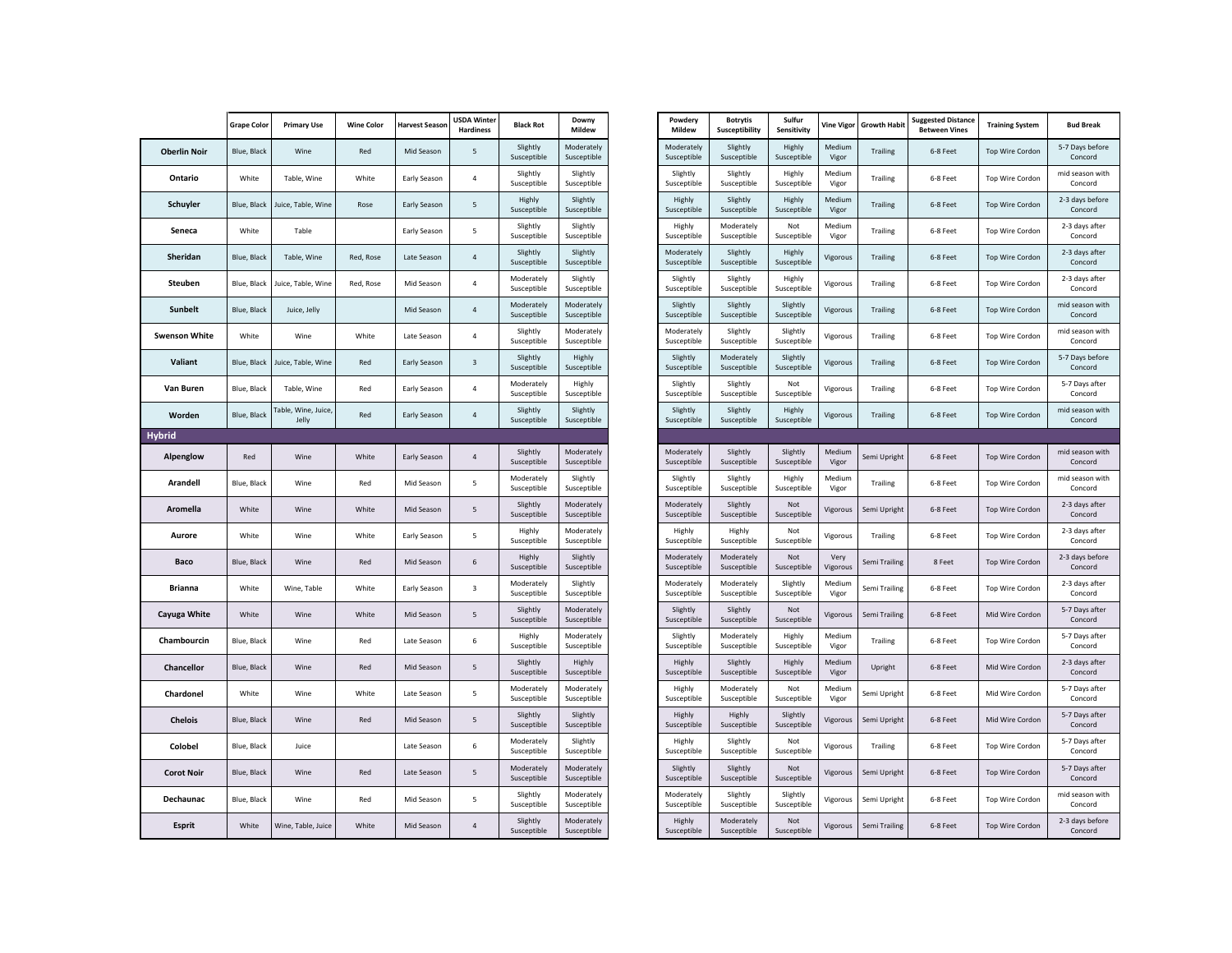|                      | <b>Grape Color</b> | <b>Primary Use</b>           | <b>Wine Color</b> | <b>Harvest Season</b> | <b>USDA Winter</b><br><b>Hardiness</b> | <b>Black Rot</b>          | Downy<br>Mildew           |
|----------------------|--------------------|------------------------------|-------------------|-----------------------|----------------------------------------|---------------------------|---------------------------|
| <b>Oberlin Noir</b>  | Blue, Black        | Wine                         | Red               | Mid Season            | 5                                      | Slightly<br>Susceptible   | Moderately<br>Susceptible |
| Ontario              | White              | Table, Wine                  | White             | Early Season          | 4                                      | Slightly<br>Susceptible   | Slightly<br>Susceptible   |
| Schuyler             | Blue, Black        | Juice, Table, Wine           | Rose              | <b>Early Season</b>   | 5                                      | Highly<br>Susceptible     | Slightly<br>Susceptible   |
| Seneca               | White              | Table                        |                   | Early Season          | 5                                      | Slightly<br>Susceptible   | Slightly<br>Susceptible   |
| Sheridan             | Blue, Black        | Table, Wine                  | Red, Rose         | Late Season           | 4                                      | Slightly<br>Susceptible   | Slightly<br>Susceptible   |
| Steuben              | Blue, Black        | Juice, Table, Wine           | Red, Rose         | Mid Season            | 4                                      | Moderately<br>Susceptible | Slightly<br>Susceptible   |
| <b>Sunbelt</b>       | Blue, Black        | Juice, Jelly                 |                   | Mid Season            | 4                                      | Moderately<br>Susceptible | Moderately<br>Susceptible |
| <b>Swenson White</b> | White              | Wine                         | White             | Late Season           | 4                                      | Slightly<br>Susceptible   | Moderately<br>Susceptible |
| Valiant              | Blue, Black        | Juice, Table, Wine           | Red               | Early Season          | 3                                      | Slightly<br>Susceptible   | Highly<br>Susceptible     |
| Van Buren            | Blue, Black        | Table, Wine                  | Red               | Early Season          | 4                                      | Moderately<br>Susceptible | Highly<br>Susceptible     |
| Worden               | Blue, Black        | Table, Wine, Juice,<br>Jelly | Red               | Early Season          | 4                                      | Slightly<br>Susceptible   | Slightly<br>Susceptible   |
| <b>Hybrid</b>        |                    |                              |                   |                       |                                        |                           |                           |
| Alpenglow            | Red                | Wine                         | White             | Early Season          | 4                                      | Slightly<br>Susceptible   | Moderately<br>Susceptible |
| Arandell             | Blue, Black        | Wine                         | Red               | Mid Season            | 5                                      | Moderately<br>Susceptible | Slightly<br>Susceptible   |
| Aromella             | White              | Wine                         | White             | Mid Season            | 5                                      | Slightly<br>Susceptible   | Moderately<br>Susceptible |
| Aurore               | White              | Wine                         | White             | Early Season          | 5                                      | Highly<br>Susceptible     | Moderately<br>Susceptible |
| Baco                 | Blue, Black        | Wine                         | Red               | Mid Season            | 6                                      | Highly<br>Susceptible     | Slightly<br>Susceptible   |
| Brianna              | White              | Wine, Table                  | White             | Early Season          | 3                                      | Moderately<br>Susceptible | Slightly<br>Susceptible   |
| Cayuga White         | White              | Wine                         | White             | Mid Season            | 5                                      | Slightly<br>Susceptible   | Moderately<br>Susceptible |
| Chambourcin          | Blue, Black        | Wine                         | Red               | Late Season           | 6                                      | Highly<br>Susceptible     | Moderately<br>Susceptible |
| <b>Chancellor</b>    | Blue, Black        | Wine                         | Red               | Mid Season            | 5                                      | Slightly<br>Susceptible   | Highly<br>Susceptible     |
| Chardonel            | White              | Wine                         | White             | Late Season           | 5                                      | Moderately<br>Susceptible | Moderately<br>Susceptible |
| <b>Chelois</b>       | Blue, Black        | Wine                         | Red               | Mid Season            | 5                                      | Slightly<br>Susceptible   | Slightly<br>Susceptible   |
| Colobel              | Blue, Black        | Juice                        |                   | Late Season           | 6                                      | Moderately<br>Susceptible | Slightly<br>Susceptible   |
| <b>Corot Noir</b>    | Blue, Black        | Wine                         | Red               | Late Season           | 5                                      | Moderately<br>Susceptible | Moderately<br>Susceptible |
| Dechaunac            | Blue, Black        | Wine                         | Red               | Mid Season            | 5                                      | Slightly<br>Susceptible   | Moderately<br>Susceptible |
| <b>Esprit</b>        | White              | Wine, Table, Juice           | White             | Mid Season            | 4                                      | Slightly<br>Susceptible   | Moderately<br>Susceptible |

| Powdery<br>Mildew         | <b>Botrytis</b><br><b>Susceptibility</b> | Sulfur<br>Sensitivity   | <b>Vine Vigor</b> | <b>Growth Habit</b> | <b>Suggested Distance</b><br><b>Between Vines</b> | <b>Training System</b> | <b>Bud Break</b>           |
|---------------------------|------------------------------------------|-------------------------|-------------------|---------------------|---------------------------------------------------|------------------------|----------------------------|
| Moderately<br>Susceptible | Slightly<br>Susceptible                  | Highly<br>Susceptible   | Medium<br>Vigor   | <b>Trailing</b>     | 6-8 Feet                                          | Top Wire Cordon        | 5-7 Days before<br>Concord |
| Slightly<br>Susceptible   | Slightly<br>Susceptible                  | Highly<br>Susceptible   | Medium<br>Vigor   | Trailing            | 6-8 Feet                                          | Top Wire Cordon        | mid season with<br>Concord |
| Highly<br>Susceptible     | Slightly<br>Susceptible                  | Highly<br>Susceptible   | Medium<br>Vigor   | <b>Trailing</b>     | 6-8 Feet                                          | Top Wire Cordon        | 2-3 days before<br>Concord |
| Highly<br>Susceptible     | Moderately<br>Susceptible                | Not<br>Susceptible      | Medium<br>Vigor   | Trailing            | 6-8 Feet                                          | Top Wire Cordon        | 2-3 days after<br>Concord  |
| Moderately<br>Susceptible | Slightly<br>Susceptible                  | Highly<br>Susceptible   | Vigorous          | <b>Trailing</b>     | 6-8 Feet                                          | Top Wire Cordon        | 2-3 days after<br>Concord  |
| Slightly<br>Susceptible   | Slightly<br>Susceptible                  | Highly<br>Susceptible   | Vigorous          | Trailing            | 6-8 Feet                                          | Top Wire Cordon        | 2-3 days after<br>Concord  |
| Slightly<br>Susceptible   | Slightly<br>Susceptible                  | Slightly<br>Susceptible | Vigorous          | <b>Trailing</b>     | 6-8 Feet                                          | <b>Top Wire Cordon</b> | mid season with<br>Concord |
| Moderately<br>Susceptible | Slightly<br>Susceptible                  | Slightly<br>Susceptible | Vigorous          | Trailing            | 6-8 Feet                                          | Top Wire Cordon        | mid season with<br>Concord |
| Slightly<br>Susceptible   | Moderately<br>Susceptible                | Slightly<br>Susceptible | Vigorous          | <b>Trailing</b>     | 6-8 Feet                                          | Top Wire Cordon        | 5-7 Days before<br>Concord |
| Slightly<br>Susceptible   | Slightly<br>Susceptible                  | Not<br>Susceptible      | Vigorous          | Trailing            | 6-8 Feet                                          | Top Wire Cordon        | 5-7 Days after<br>Concord  |
| Slightly<br>Susceptible   | Slightly<br>Susceptible                  | Highly<br>Susceptible   | Vigorous          | <b>Trailing</b>     | 6-8 Feet                                          | Top Wire Cordon        | mid season with<br>Concord |
|                           |                                          |                         |                   |                     |                                                   |                        |                            |
| Moderately<br>Susceptible | Slightly<br>Susceptible                  | Slightly<br>Susceptible | Medium<br>Vigor   | Semi Upright        | 6-8 Feet                                          | Top Wire Cordon        | mid season with<br>Concord |
| Slightly<br>Susceptible   | Slightly<br>Susceptible                  | Highly<br>Susceptible   | Medium<br>Vigor   | Trailing            | 6-8 Feet                                          | Top Wire Cordon        | mid season with<br>Concord |
| Moderately<br>Susceptible | Slightly<br>Susceptible                  | Not<br>Susceptible      | Vigorous          | Semi Upright        | 6-8 Feet                                          | Top Wire Cordon        | 2-3 days after<br>Concord  |
| Highly<br>Susceptible     | Highly<br>Susceptible                    | Not<br>Susceptible      | Vigorous          | Trailing            | 6-8 Feet                                          | Top Wire Cordon        | 2-3 days after<br>Concord  |
| Moderately<br>Susceptible | Moderately<br>Susceptible                | Not<br>Susceptible      | Very<br>Vigorous  | Semi Trailing       | 8 Feet                                            | Top Wire Cordon        | 2-3 days before<br>Concord |
| Moderately<br>Susceptible | Moderately<br>Susceptible                | Slightly<br>Susceptible | Medium<br>Vigor   | Semi Trailing       | 6-8 Feet                                          | Top Wire Cordon        | 2-3 days after<br>Concord  |
| Slightly<br>Susceptible   | Slightly<br>Susceptible                  | Not<br>Susceptible      | Vigorous          | Semi Trailing       | 6-8 Feet                                          | Mid Wire Cordon        | 5-7 Days after<br>Concord  |
| Slightly<br>Susceptible   | Moderately<br>Susceptible                | Highly<br>Susceptible   | Medium<br>Vigor   | Trailing            | 6-8 Feet                                          | Top Wire Cordon        | 5-7 Days after<br>Concord  |
| Highly<br>Susceptible     | Slightly<br>Susceptible                  | Highly<br>Susceptible   | Medium<br>Vigor   | Upright             | 6-8 Feet                                          | Mid Wire Cordon        | 2-3 days after<br>Concord  |
| Highly<br>Susceptible     | Moderately<br>Susceptible                | Not<br>Susceptible      | Medium<br>Vigor   | Semi Upright        | 6-8 Feet                                          | Mid Wire Cordon        | 5-7 Days after<br>Concord  |
| Highly<br>Susceptible     | Highly<br>Susceptible                    | Slightly<br>Susceptible | Vigorous          | Semi Upright        | 6-8 Feet                                          | Mid Wire Cordon        | 5-7 Days after<br>Concord  |
| Highly<br>Susceptible     | Slightly<br>Susceptible                  | Not<br>Susceptible      | Vigorous          | Trailing            | 6-8 Feet                                          | Top Wire Cordon        | 5-7 Days after<br>Concord  |
| Slightly<br>Susceptible   | Slightly<br>Susceptible                  | Not<br>Susceptible      | Vigorous          | Semi Upright        | 6-8 Feet                                          | Top Wire Cordon        | 5-7 Days after<br>Concord  |
| Moderately<br>Susceptible | Slightly<br>Susceptible                  | Slightly<br>Susceptible | Vigorous          | Semi Upright        | 6-8 Feet                                          | Top Wire Cordon        | mid season with<br>Concord |
| Highly<br>Susceptible     | Moderately<br>Susceptible                | Not<br>Susceptible      | Vigorous          | Semi Trailing       | 6-8 Feet                                          | Top Wire Cordon        | 2-3 days before<br>Concord |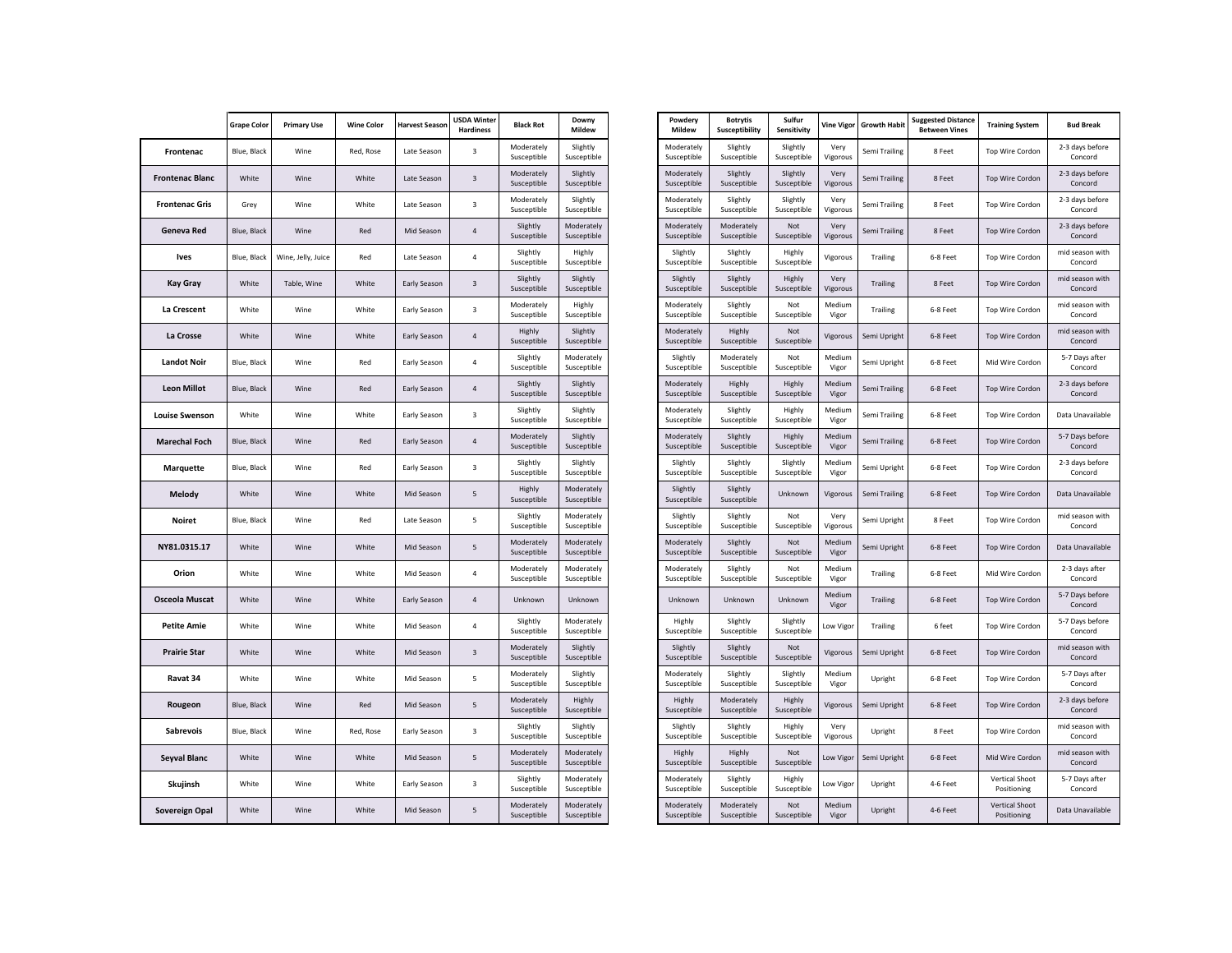|                        | <b>Grape Color</b> | <b>Primary Use</b> | <b>Wine Color</b> | <b>Harvest Season</b> | <b>USDA Winter</b><br><b>Hardiness</b> | <b>Black Rot</b>          | Downy<br>Mildew           | Powdery<br>Mildew         | <b>Botrytis</b><br>Susceptibility | Sulfur<br>Sensitivity   | <b>Vine Vigo</b> |
|------------------------|--------------------|--------------------|-------------------|-----------------------|----------------------------------------|---------------------------|---------------------------|---------------------------|-----------------------------------|-------------------------|------------------|
| Frontenac              | Blue, Black        | Wine               | Red, Rose         | Late Season           | 3                                      | Moderately<br>Susceptible | Slightly<br>Susceptible   | Moderately<br>Susceptible | Slightly<br>Susceptible           | Slightly<br>Susceptible | Very<br>Vigorous |
| <b>Frontenac Blanc</b> | White              | Wine               | White             | Late Season           | $\overline{\mathbf{3}}$                | Moderately<br>Susceptible | Slightly<br>Susceptible   | Moderately<br>Susceptible | Slightly<br>Susceptible           | Slightly<br>Susceptible | Very<br>Vigorous |
| <b>Frontenac Gris</b>  | Grey               | Wine               | White             | Late Season           | $\overline{3}$                         | Moderately<br>Susceptible | Slightly<br>Susceptible   | Moderately<br>Susceptible | Slightly<br>Susceptible           | Slightly<br>Susceptible | Very<br>Vigorous |
| Geneva Red             | Blue, Black        | Wine               | Red               | Mid Season            | $\overline{4}$                         | Slightly<br>Susceptible   | Moderately<br>Susceptible | Moderately<br>Susceptible | Moderately<br>Susceptible         | Not<br>Susceptible      | Very<br>Vigorous |
| <b>Ives</b>            | Blue, Black        | Wine, Jelly, Juice | Red               | Late Season           | $\overline{4}$                         | Slightly<br>Susceptible   | Highly<br>Susceptible     | Slightly<br>Susceptible   | Slightly<br>Susceptible           | Highly<br>Susceptible   | Vigorous         |
| <b>Kay Gray</b>        | White              | Table, Wine        | White             | Early Season          | $\overline{3}$                         | Slightly<br>Susceptible   | Slightly<br>Susceptible   | Slightly<br>Susceptible   | Slightly<br>Susceptible           | Highly<br>Susceptible   | Very<br>Vigorous |
| La Crescent            | White              | Wine               | White             | Early Season          | 3                                      | Moderately<br>Susceptible | Highly<br>Susceptible     | Moderately<br>Susceptible | Slightly<br>Susceptible           | Not<br>Susceptible      | Medium<br>Vigor  |
| La Crosse              | White              | Wine               | White             | Early Season          | 4                                      | Highly<br>Susceptible     | Slightly<br>Susceptible   | Moderately<br>Susceptible | Highly<br>Susceptible             | Not<br>Susceptible      | Vigorous         |
| <b>Landot Noir</b>     | Blue, Black        | Wine               | Red               | Early Season          | 4                                      | Slightly<br>Susceptible   | Moderately<br>Susceptible | Slightly<br>Susceptible   | Moderately<br>Susceptible         | Not<br>Susceptible      | Medium<br>Vigor  |
| <b>Leon Millot</b>     | Blue, Black        | Wine               | Red               | Early Season          | $\sqrt{4}$                             | Slightly<br>Susceptible   | Slightly<br>Susceptible   | Moderately<br>Susceptible | Highly<br>Susceptible             | Highly<br>Susceptible   | Medium<br>Vigor  |
| <b>Louise Swenson</b>  | White              | Wine               | White             | Early Season          | 3                                      | Slightly<br>Susceptible   | Slightly<br>Susceptible   | Moderately<br>Susceptible | Slightly<br>Susceptible           | Highly<br>Susceptible   | Medium<br>Vigor  |
| <b>Marechal Foch</b>   | Blue, Black        | Wine               | Red               | Early Season          | $\overline{4}$                         | Moderately<br>Susceptible | Slightly<br>Susceptible   | Moderately<br>Susceptible | Slightly<br>Susceptible           | Highly<br>Susceptible   | Medium<br>Vigor  |
| Marquette              | Blue, Black        | Wine               | Red               | Early Season          | 3                                      | Slightly<br>Susceptible   | Slightly<br>Susceptible   | Slightly<br>Susceptible   | Slightly<br>Susceptible           | Slightly<br>Susceptible | Medium<br>Vigor  |
| Melody                 | White              | Wine               | White             | Mid Season            | $\sf 5$                                | Highly<br>Susceptible     | Moderately<br>Susceptible | Slightly<br>Susceptible   | Slightly<br>Susceptible           | Unknown                 | Vigorous         |
| <b>Noiret</b>          | Blue, Black        | Wine               | Red               | Late Season           | 5                                      | Slightly<br>Susceptible   | Moderately<br>Susceptible | Slightly<br>Susceptible   | Slightly<br>Susceptible           | Not<br>Susceptible      | Very<br>Vigorous |
| NY81.0315.17           | White              | Wine               | White             | Mid Season            | 5                                      | Moderately<br>Susceptible | Moderately<br>Susceptible | Moderately<br>Susceptible | Slightly<br>Susceptible           | Not<br>Susceptible      | Medium<br>Vigor  |
| Orion                  | White              | Wine               | White             | Mid Season            | 4                                      | Moderately<br>Susceptible | Moderately<br>Susceptible | Moderately<br>Susceptible | Slightly<br>Susceptible           | Not<br>Susceptible      | Medium<br>Vigor  |
| <b>Osceola Muscat</b>  | White              | Wine               | White             | Early Season          | $\sqrt{4}$                             | Unknown                   | Unknown                   | Unknown                   | Unknown                           | Unknown                 | Medium<br>Vigor  |
| <b>Petite Amie</b>     | White              | Wine               | White             | Mid Season            | 4                                      | Slightly<br>Susceptible   | Moderately<br>Susceptible | Highly<br>Susceptible     | Slightly<br>Susceptible           | Slightly<br>Susceptible | Low Vigo         |
| <b>Prairie Star</b>    | White              | Wine               | White             | Mid Season            | 3                                      | Moderately<br>Susceptible | Slightly<br>Susceptible   | Slightly<br>Susceptible   | Slightly<br>Susceptible           | Not<br>Susceptible      | Vigorous         |
| Ravat 34               | White              | Wine               | White             | Mid Season            | 5                                      | Moderately<br>Susceptible | Slightly<br>Susceptible   | Moderately<br>Susceptible | Slightly<br>Susceptible           | Slightly<br>Susceptible | Medium<br>Vigor  |
| Rougeon                | Blue, Black        | Wine               | Red               | Mid Season            | 5                                      | Moderately<br>Susceptible | Highly<br>Susceptible     | Highly<br>Susceptible     | Moderately<br>Susceptible         | Highly<br>Susceptible   | Vigorous         |
| Sabrevois              | Blue, Black        | Wine               | Red, Rose         | Early Season          | 3                                      | Slightly<br>Susceptible   | Slightly<br>Susceptible   | Slightly<br>Susceptible   | Slightly<br>Susceptible           | Highly<br>Susceptible   | Very<br>Vigorous |
| Seyval Blanc           | White              | Wine               | White             | Mid Season            | 5                                      | Moderately<br>Susceptible | Moderately<br>Susceptible | Highly<br>Susceptible     | Highly<br>Susceptible             | Not<br>Susceptible      | Low Vigo         |
| Skujinsh               | White              | Wine               | White             | Early Season          | 3                                      | Slightly<br>Susceptible   | Moderately<br>Susceptible | Moderately<br>Susceptible | Slightly<br>Susceptible           | Highly<br>Susceptible   | Low Vigo         |
| Sovereign Opal         | White              | Wine               | White             | Mid Season            | 5                                      | Moderately<br>Susceptible | Moderately<br>Susceptible | Moderately<br>Susceptible | Moderately<br>Susceptible         | Not<br>Susceptible      | Medium<br>Vigor  |
|                        |                    |                    |                   |                       |                                        |                           |                           |                           |                                   |                         |                  |

| Powdery<br>Mildew         | <b>Botrytis</b><br>Susceptibility | Sulfur<br>Sensitivity   | <b>Vine Vigor</b> | <b>Growth Habit</b> | <b>Suggested Distance</b><br><b>Between Vines</b> | <b>Training System</b>               | <b>Bud Break</b>           |
|---------------------------|-----------------------------------|-------------------------|-------------------|---------------------|---------------------------------------------------|--------------------------------------|----------------------------|
| Moderately<br>Susceptible | Slightly<br>Susceptible           | Slightly<br>Susceptible | Very<br>Vigorous  | Semi Trailing       | 8 Feet                                            | Top Wire Cordon                      | 2-3 days before<br>Concord |
| Moderately<br>Susceptible | Slightly<br>Susceptible           | Slightly<br>Susceptible | Very<br>Vigorous  | Semi Trailing       | 8 Feet                                            | Top Wire Cordon                      | 2-3 days before<br>Concord |
| Moderately<br>Susceptible | Slightly<br>Susceptible           | Slightly<br>Susceptible | Very<br>Vigorous  | Semi Trailing       | 8 Feet                                            | Top Wire Cordon                      | 2-3 days before<br>Concord |
| Moderately<br>Susceptible | Moderately<br>Susceptible         | Not<br>Susceptible      | Very<br>Vigorous  | Semi Trailing       | 8 Feet                                            | Top Wire Cordon                      | 2-3 days before<br>Concord |
| Slightly<br>Susceptible   | Slightly<br>Susceptible           | Highly<br>Susceptible   | Vigorous          | Trailing            | 6-8 Feet                                          | Top Wire Cordon                      | mid season with<br>Concord |
| Slightly<br>Susceptible   | Slightly<br>Susceptible           | Highly<br>Susceptible   | Very<br>Vigorous  | <b>Trailing</b>     | 8 Feet                                            | Top Wire Cordon                      | mid season with<br>Concord |
| Moderately<br>Susceptible | Slightly<br>Susceptible           | Not<br>Susceptible      | Medium<br>Vigor   | Trailing            | 6-8 Feet                                          | Top Wire Cordon                      | mid season with<br>Concord |
| Moderately<br>Susceptible | Highly<br>Susceptible             | Not<br>Susceptible      | Vigorous          | Semi Upright        | 6-8 Feet                                          | Top Wire Cordon                      | mid season with<br>Concord |
| Slightly<br>Susceptible   | Moderately<br>Susceptible         | Not<br>Susceptible      | Medium<br>Vigor   | Semi Upright        | 6-8 Feet                                          | Mid Wire Cordon                      | 5-7 Days after<br>Concord  |
| Moderately<br>Susceptible | Highly<br>Susceptible             | Highly<br>Susceptible   | Medium<br>Vigor   | Semi Trailing       | 6-8 Feet                                          | Top Wire Cordon                      | 2-3 days before<br>Concord |
| Moderately<br>Susceptible | Slightly<br>Susceptible           | Highly<br>Susceptible   | Medium<br>Vigor   | Semi Trailing       | 6-8 Feet                                          | Top Wire Cordon                      | Data Unavailable           |
| Moderately<br>Susceptible | Slightly<br>Susceptible           | Highly<br>Susceptible   | Medium<br>Vigor   | Semi Trailing       | 6-8 Feet                                          | Top Wire Cordon                      | 5-7 Days before<br>Concord |
| Slightly<br>Susceptible   | Slightly<br>Susceptible           | Slightly<br>Susceptible | Medium<br>Vigor   | Semi Upright        | 6-8 Feet                                          | Top Wire Cordon                      | 2-3 days before<br>Concord |
| Slightly<br>Susceptible   | Slightly<br>Susceptible           | Unknown                 | Vigorous          | Semi Trailing       | 6-8 Feet                                          | <b>Top Wire Cordon</b>               | Data Unavailable           |
| Slightly<br>Susceptible   | Slightly<br>Susceptible           | Not<br>Susceptible      | Very<br>Vigorous  | Semi Upright        | 8 Feet                                            | Top Wire Cordon                      | mid season with<br>Concord |
| Moderately<br>Susceptible | Slightly<br>Susceptible           | Not<br>Susceptible      | Medium<br>Vigor   | Semi Upright        | 6-8 Feet                                          | <b>Top Wire Cordon</b>               | Data Unavailable           |
| Moderately<br>Susceptible | Slightly<br>Susceptible           | Not<br>Susceptible      | Medium<br>Vigor   | <b>Trailing</b>     | 6-8 Feet                                          | Mid Wire Cordon                      | 2-3 days after<br>Concord  |
| Unknown                   | Unknown                           | Unknown                 | Medium<br>Vigor   | <b>Trailing</b>     | 6-8 Feet                                          | Top Wire Cordon                      | 5-7 Days before<br>Concord |
| Highly<br>Susceptible     | Slightly<br>Susceptible           | Slightly<br>Susceptible | Low Vigor         | Trailing            | 6 feet                                            | Top Wire Cordon                      | 5-7 Days before<br>Concord |
| Slightly<br>Susceptible   | Slightly<br>Susceptible           | Not<br>Susceptible      | Vigorous          | Semi Upright        | 6-8 Feet                                          | <b>Top Wire Cordon</b>               | mid season with<br>Concord |
| Moderately<br>Susceptible | Slightly<br>Susceptible           | Slightly<br>Susceptible | Medium<br>Vigor   | Upright             | 6-8 Feet                                          | Top Wire Cordon                      | 5-7 Days after<br>Concord  |
| Highly<br>Susceptible     | Moderately<br>Susceptible         | Highly<br>Susceptible   | Vigorous          | Semi Upright        | 6-8 Feet                                          | <b>Top Wire Cordon</b>               | 2-3 days before<br>Concord |
| Slightly<br>Susceptible   | Slightly<br>Susceptible           | Highly<br>Susceptible   | Very<br>Vigorous  | Upright             | 8 Feet                                            | Top Wire Cordon                      | mid season with<br>Concord |
| Highly<br>Susceptible     | Highly<br>Susceptible             | Not<br>Susceptible      | Low Vigor         | Semi Upright        | 6-8 Feet                                          | Mid Wire Cordon                      | mid season with<br>Concord |
| Moderately<br>Susceptible | Slightly<br>Susceptible           | Highly<br>Susceptible   | Low Vigor         | Upright             | 4-6 Feet                                          | Vertical Shoot<br>Positioning        | 5-7 Days after<br>Concord  |
| Moderately<br>Susceptible | Moderately<br>Susceptible         | Not<br>Susceptible      | Medium<br>Vigor   | Upright             | 4-6 Feet                                          | <b>Vertical Shoot</b><br>Positioning | Data Unavailable           |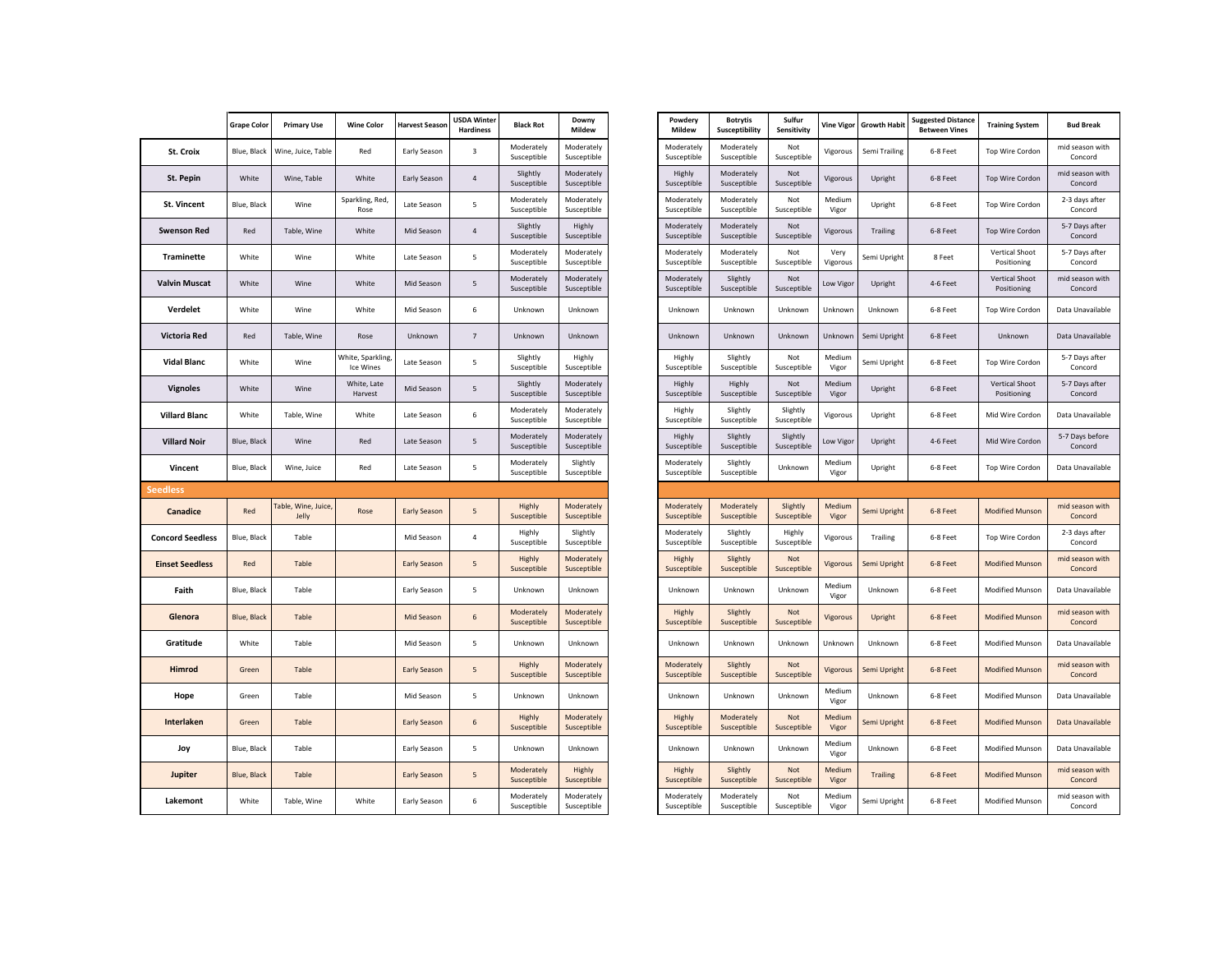|                         | <b>Grape Color</b> | <b>Primary Use</b>           | <b>Wine Color</b>              | <b>Harvest Season</b> | <b>USDA Winter</b><br><b>Hardiness</b> | <b>Black Rot</b>          | Downy<br>Mildew           | Powdery<br>Mildew         | <b>Botrytis</b><br>Susceptibility | Sulfur<br>Sensitivity   | <b>Vine Vigo</b> |
|-------------------------|--------------------|------------------------------|--------------------------------|-----------------------|----------------------------------------|---------------------------|---------------------------|---------------------------|-----------------------------------|-------------------------|------------------|
| St. Croix               | Blue, Black        | Wine, Juice, Table           | Red                            | Early Season          | 3                                      | Moderately<br>Susceptible | Moderately<br>Susceptible | Moderately<br>Susceptible | Moderately<br>Susceptible         | Not<br>Susceptible      | Vigorous         |
| St. Pepin               | White              | Wine, Table                  | White                          | Early Season          | $\sqrt{4}$                             | Slightly<br>Susceptible   | Moderately<br>Susceptible | Highly<br>Susceptible     | Moderately<br>Susceptible         | Not<br>Susceptible      | Vigorous         |
| St. Vincent             | Blue, Black        | Wine                         | Sparkling, Red,<br>Rose        | Late Season           | 5                                      | Moderately<br>Susceptible | Moderately<br>Susceptible | Moderately<br>Susceptible | Moderately<br>Susceptible         | Not<br>Susceptible      | Medium<br>Vigor  |
| <b>Swenson Red</b>      | Red                | Table, Wine                  | White                          | Mid Season            | 4                                      | Slightly<br>Susceptible   | Highly<br>Susceptible     | Moderately<br>Susceptible | Moderately<br>Susceptible         | Not<br>Susceptible      | Vigorous         |
| <b>Traminette</b>       | White              | Wine                         | White                          | Late Season           | 5                                      | Moderately<br>Susceptible | Moderately<br>Susceptible | Moderately<br>Susceptible | Moderately<br>Susceptible         | Not<br>Susceptible      | Very<br>Vigorous |
| <b>Valvin Muscat</b>    | White              | Wine                         | White                          | Mid Season            | 5                                      | Moderately<br>Susceptible | Moderately<br>Susceptible | Moderately<br>Susceptible | Slightly<br>Susceptible           | Not<br>Susceptible      | Low Vigo         |
| Verdelet                | White              | Wine                         | White                          | Mid Season            | 6                                      | Unknown                   | Unknown                   | Unknown                   | Unknown                           | Unknown                 | Unknowr          |
| Victoria Red            | Red                | Table, Wine                  | Rose                           | Unknown               | $\overline{7}$                         | Unknown                   | Unknown                   | Unknown                   | Unknown                           | Unknown                 | Unknowr          |
| <b>Vidal Blanc</b>      | White              | Wine                         | White, Sparkling,<br>Ice Wines | Late Season           | 5                                      | Slightly<br>Susceptible   | Highly<br>Susceptible     | Highly<br>Susceptible     | Slightly<br>Susceptible           | Not<br>Susceptible      | Medium<br>Vigor  |
| <b>Vignoles</b>         | White              | Wine                         | White, Late<br>Harvest         | Mid Season            | $\sf 5$                                | Slightly<br>Susceptible   | Moderately<br>Susceptible | Highly<br>Susceptible     | Highly<br>Susceptible             | Not<br>Susceptible      | Medium<br>Vigor  |
| <b>Villard Blanc</b>    | White              | Table, Wine                  | White                          | Late Season           | 6                                      | Moderately<br>Susceptible | Moderately<br>Susceptible | Highly<br>Susceptible     | Slightly<br>Susceptible           | Slightly<br>Susceptible | Vigorous         |
| <b>Villard Noir</b>     | Blue, Black        | Wine                         | Red                            | Late Season           | 5                                      | Moderately<br>Susceptible | Moderately<br>Susceptible | Highly<br>Susceptible     | Slightly<br>Susceptible           | Slightly<br>Susceptible | Low Vigo         |
| Vincent                 | Blue, Black        | Wine, Juice                  | Red                            | Late Season           | 5                                      | Moderately<br>Susceptible | Slightly<br>Susceptible   | Moderately<br>Susceptible | Slightly<br>Susceptible           | Unknown                 | Medium<br>Vigor  |
| <b>Seedless</b>         |                    |                              |                                |                       |                                        |                           |                           |                           |                                   |                         |                  |
| Canadice                | Red                | Table, Wine, Juice,<br>Jelly | Rose                           | <b>Early Season</b>   | 5                                      | Highly<br>Susceptible     | Moderately<br>Susceptible | Moderately<br>Susceptible | Moderately<br>Susceptible         | Slightly<br>Susceptible | Medium<br>Vigor  |
| <b>Concord Seedless</b> | Blue, Black        | Table                        |                                | Mid Season            | 4                                      | Highly<br>Susceptible     | Slightly<br>Susceptible   | Moderately<br>Susceptible | Slightly<br>Susceptible           | Highly<br>Susceptible   | Vigorous         |
| <b>Einset Seedless</b>  | Red                | Table                        |                                | Early Season          | $\sf 5$                                | Highly<br>Susceptible     | Moderately<br>Susceptible | Highly<br>Susceptible     | Slightly<br>Susceptible           | Not<br>Susceptible      | Vigorous         |
| Faith                   | Blue, Black        | Table                        |                                | Early Season          | 5                                      | Unknown                   | Unknown                   | Unknown                   | Unknown                           | Unknown                 | Medium<br>Vigor  |
| Glenora                 | Blue, Black        | Table                        |                                | Mid Season            | 6                                      | Moderately<br>Susceptible | Moderately<br>Susceptible | Highly<br>Susceptible     | Slightly<br>Susceptible           | Not<br>Susceptible      | Vigorous         |
| Gratitude               | White              | Table                        |                                | Mid Season            | 5                                      | Unknown                   | Unknown                   | Unknown                   | Unknown                           | Unknown                 | Unknown          |
| <b>Himrod</b>           | Green              | Table                        |                                | <b>Early Season</b>   | 5                                      | Highly<br>Susceptible     | Moderately<br>Susceptible | Moderately<br>Susceptible | Slightly<br>Susceptible           | Not<br>Susceptible      | Vigorous         |
| Hope                    | Green              | Table                        |                                | Mid Season            | 5                                      | Unknown                   | Unknown                   | Unknown                   | Unknown                           | Unknown                 | Medium<br>Vigor  |
| Interlaken              | Green              | Table                        |                                | Early Season          | 6                                      | Highly<br>Susceptible     | Moderately<br>Susceptible | Highly<br>Susceptible     | Moderately<br>Susceptible         | Not<br>Susceptible      | Medium<br>Vigor  |
| Joy                     | Blue, Black        | Table                        |                                | Early Season          | 5                                      | Unknown                   | Unknown                   | Unknown                   | Unknown                           | Unknown                 | Medium<br>Vigor  |
| Jupiter                 | Blue, Black        | Table                        |                                | Early Season          | $\sf 5$                                | Moderately<br>Susceptible | Highly<br>Susceptible     | Highly<br>Susceptible     | Slightly<br>Susceptible           | Not<br>Susceptible      | Medium<br>Vigor  |
| Lakemont                | White              | Table, Wine                  | White                          | Early Season          | 6                                      | Moderately<br>Susceptible | Moderately<br>Susceptible | Moderately<br>Susceptible | Moderately<br>Susceptible         | Not<br>Susceptible      | Medium<br>Vigor  |

|                      | <b>Grape Color</b> | <b>Primary Use</b>           | <b>Wine Color</b>              | <b>Harvest Seasor</b> | <b>USDA Winter</b><br><b>Hardiness</b> | <b>Black Rot</b>          | Downy<br>Mildew           | Powdery<br>Mildew         | <b>Botrytis</b><br>Susceptibility | Sulfur<br>Sensitivity   | Vine Vigor       | <b>Growth Habit</b> | <b>Suggested Distance</b><br><b>Between Vines</b> | <b>Training System</b>               | <b>Bud Break</b>           |
|----------------------|--------------------|------------------------------|--------------------------------|-----------------------|----------------------------------------|---------------------------|---------------------------|---------------------------|-----------------------------------|-------------------------|------------------|---------------------|---------------------------------------------------|--------------------------------------|----------------------------|
| St. Croix            | Blue, Black        | Wine, Juice, Table           | Red                            | Early Season          | $\overline{\mathbf{3}}$                | Moderately<br>Susceptible | Moderately<br>Susceptible | Moderately<br>Susceptible | Moderately<br>Susceptible         | Not<br>Susceptible      | Vigorous         | Semi Trailing       | 6-8 Feet                                          | <b>Top Wire Cordon</b>               | mid season with<br>Concord |
| St. Pepin            | White              | Wine, Table                  | White                          | Early Season          | $\sqrt{4}$                             | Slightly<br>Susceptible   | Moderately<br>Susceptible | Highly<br>Susceptible     | Moderately<br>Susceptible         | Not<br>Susceptible      | Vigorous         | Upright             | 6-8 Feet                                          | Top Wire Cordon                      | mid season with<br>Concord |
| <b>St. Vincent</b>   | Blue, Black        | Wine                         | Sparkling, Red,<br>Rose        | Late Season           | 5                                      | Moderately<br>Susceptible | Moderately<br>Susceptible | Moderately<br>Susceptible | Moderately<br>Susceptible         | Not<br>Susceptible      | Medium<br>Vigor  | Upright             | 6-8 Feet                                          | Top Wire Cordon                      | 2-3 days after<br>Concord  |
| Swenson Red          | Red                | Table, Wine                  | White                          | Mid Season            | $\overline{4}$                         | Slightly<br>Susceptible   | Highly<br>Susceptible     | Moderately<br>Susceptible | Moderately<br>Susceptible         | Not<br>Susceptible      | Vigorous         | Trailing            | 6-8 Feet                                          | Top Wire Cordon                      | 5-7 Days after<br>Concord  |
| Traminette           | White              | Wine                         | White                          | Late Season           | $\overline{\phantom{a}}$               | Moderately<br>Susceptible | Moderately<br>Susceptible | Moderately<br>Susceptible | Moderately<br>Susceptible         | Not<br>Susceptible      | Very<br>Vigorous | Semi Upright        | 8 Feet                                            | Vertical Shoot<br>Positioning        | 5-7 Days after<br>Concord  |
| 'alvin Muscat        | White              | Wine                         | White                          | Mid Season            | 5                                      | Moderately<br>Susceptible | Moderately<br>Susceptible | Moderately<br>Susceptible | Slightly<br>Susceptible           | Not<br>Susceptible      | Low Vigor        | Upright             | 4-6 Feet                                          | Vertical Shoot<br>Positioning        | mid season with<br>Concord |
| Verdelet             | White              | Wine                         | White                          | Mid Season            | 6                                      | Unknown                   | Unknown                   | Unknown                   | Unknown                           | Unknown                 | Unknown          | Unknown             | 6-8 Feet                                          | Top Wire Cordon                      | Data Unavailable           |
| Victoria Red         | Red                | Table, Wine                  | Rose                           | Unknown               | $7\overline{ }$                        | Unknown                   | Unknown                   | Unknown                   | Unknown                           | Unknown                 | Unknown          | Semi Upright        | 6-8 Feet                                          | Unknown                              | Data Unavailable           |
| Vidal Blanc          | White              | Wine                         | White, Sparkling,<br>Ice Wines | Late Season           | 5                                      | Slightly<br>Susceptible   | Highly<br>Susceptible     | Highly<br>Susceptible     | Slightly<br>Susceptible           | Not<br>Susceptible      | Medium<br>Vigor  | Semi Upright        | 6-8 Feet                                          | Top Wire Cordon                      | 5-7 Days after<br>Concord  |
| <b>Vignoles</b>      | White              | Wine                         | White, Late<br>Harvest         | Mid Season            | 5                                      | Slightly<br>Susceptible   | Moderately<br>Susceptible | Highly<br>Susceptible     | Highly<br>Susceptible             | Not<br>Susceptible      | Medium<br>Vigor  | Upright             | 6-8 Feet                                          | <b>Vertical Shoot</b><br>Positioning | 5-7 Days after<br>Concord  |
| <b>Villard Blanc</b> | White              | Table, Wine                  | White                          | Late Season           | 6                                      | Moderately<br>Susceptible | Moderately<br>Susceptible | Highly<br>Susceptible     | Slightly<br>Susceptible           | Slightly<br>Susceptible | Vigorous         | Upright             | 6-8 Feet                                          | Mid Wire Cordon                      | Data Unavailable           |
| <b>Villard Noir</b>  | Blue, Black        | Wine                         | Red                            | Late Season           | 5                                      | Moderately<br>Susceptible | Moderately<br>Susceptible | Highly<br>Susceptible     | Slightly<br>Susceptible           | Slightly<br>Susceptible | Low Vigor        | Upright             | 4-6 Feet                                          | Mid Wire Cordon                      | 5-7 Days before<br>Concord |
| Vincent              | Blue, Black        | Wine, Juice                  | Red                            | Late Season           | 5                                      | Moderately<br>Susceptible | Slightly<br>Susceptible   | Moderately<br>Susceptible | Slightly<br>Susceptible           | Unknown                 | Medium<br>Vigor  | Upright             | 6-8 Feet                                          | Top Wire Cordon                      | Data Unavailable           |
| dless                |                    |                              |                                |                       |                                        |                           |                           |                           |                                   |                         |                  |                     |                                                   |                                      |                            |
| Canadice             | Red                | Table, Wine, Juice,<br>Jelly | Rose                           | <b>Early Season</b>   | 5                                      | Highly<br>Susceptible     | Moderately<br>Susceptible | Moderately<br>Susceptible | Moderately<br>Susceptible         | Slightly<br>Susceptible | Medium<br>Vigor  | Semi Upright        | 6-8 Feet                                          | <b>Modified Munson</b>               | mid season with<br>Concord |
| ncord Seedless       | Blue, Black        | Table                        |                                | Mid Season            | $\overline{4}$                         | Highly<br>Susceptible     | Slightly<br>Susceptible   | Moderately<br>Susceptible | Slightly<br>Susceptible           | Highly<br>Susceptible   | Vigorous         | Trailing            | 6-8 Feet                                          | Top Wire Cordon                      | 2-3 days after<br>Concord  |
| inset Seedless       | Red                | Table                        |                                | Early Season          | $5\phantom{.0}$                        | Highly<br>Susceptible     | Moderately<br>Susceptible | Highly<br>Susceptible     | Slightly<br>Susceptible           | Not<br>Susceptible      | Vigorous         | Semi Upright        | 6-8 Feet                                          | <b>Modified Munson</b>               | mid season with<br>Concord |
| Faith                | Blue, Black        | Table                        |                                | Early Season          | 5                                      | Unknown                   | Unknown                   | Unknown                   | Unknown                           | Unknown                 | Medium<br>Vigor  | Unknown             | 6-8 Feet                                          | Modified Munson                      | Data Unavailable           |
| Glenora              | Blue, Black        | Table                        |                                | Mid Season            | 6                                      | Moderately<br>Susceptible | Moderately<br>Susceptible | Highly<br>Susceptible     | Slightly<br>Susceptible           | Not<br>Susceptible      | Vigorous         | Upright             | 6-8 Feet                                          | <b>Modified Munson</b>               | mid season with<br>Concord |
| Gratitude            | White              | Table                        |                                | Mid Season            | 5                                      | Unknown                   | Unknown                   | Unknown                   | Unknown                           | Unknown                 | Unknown          | Unknown             | 6-8 Feet                                          | Modified Munson                      | Data Unavailable           |
| Himrod               | Green              | Table                        |                                | <b>Early Season</b>   | 5                                      | Highly<br>Susceptible     | Moderately<br>Susceptible | Moderately<br>Susceptible | Slightly<br>Susceptible           | Not<br>Susceptible      | Vigorous         | Semi Upright        | 6-8 Feet                                          | <b>Modified Munson</b>               | mid season with<br>Concord |
| Hope                 | Green              | Table                        |                                | Mid Season            | 5                                      | Unknown                   | Unknown                   | Unknown                   | Unknown                           | Unknown                 | Medium<br>Vigor  | Unknown             | 6-8 Feet                                          | <b>Modified Munson</b>               | Data Unavailable           |
| Interlaken           | Green              | Table                        |                                | Early Season          | 6                                      | Highly<br>Susceptible     | Moderately<br>Susceptible | Highly<br>Susceptible     | Moderately<br>Susceptible         | Not<br>Susceptible      | Medium<br>Vigor  | Semi Upright        | 6-8 Feet                                          | <b>Modified Munson</b>               | Data Unavailable           |
| Joy                  | Blue, Black        | Table                        |                                | Early Season          | 5                                      | Unknown                   | Unknown                   | Unknown                   | Unknown                           | Unknown                 | Medium<br>Vigor  | Unknown             | 6-8 Feet                                          | <b>Modified Munson</b>               | Data Unavailable           |
| Jupiter              | Blue, Black        | Table                        |                                | <b>Early Season</b>   | 5                                      | Moderately<br>Susceptible | Highly<br>Susceptible     | Highly<br>Susceptible     | Slightly<br>Susceptible           | Not<br>Susceptible      | Medium<br>Vigor  | <b>Trailing</b>     | 6-8 Feet                                          | <b>Modified Munson</b>               | mid season with<br>Concord |
| Lakemont             | White              | Table, Wine                  | White                          | Early Season          | 6                                      | Moderately<br>Susceptible | Moderately<br>Susceptible | Moderately<br>Susceptible | Moderately<br>Susceptible         | Not<br>Susceptible      | Medium<br>Vigor  | Semi Upright        | 6-8 Feet                                          | Modified Munson                      | mid season with<br>Concord |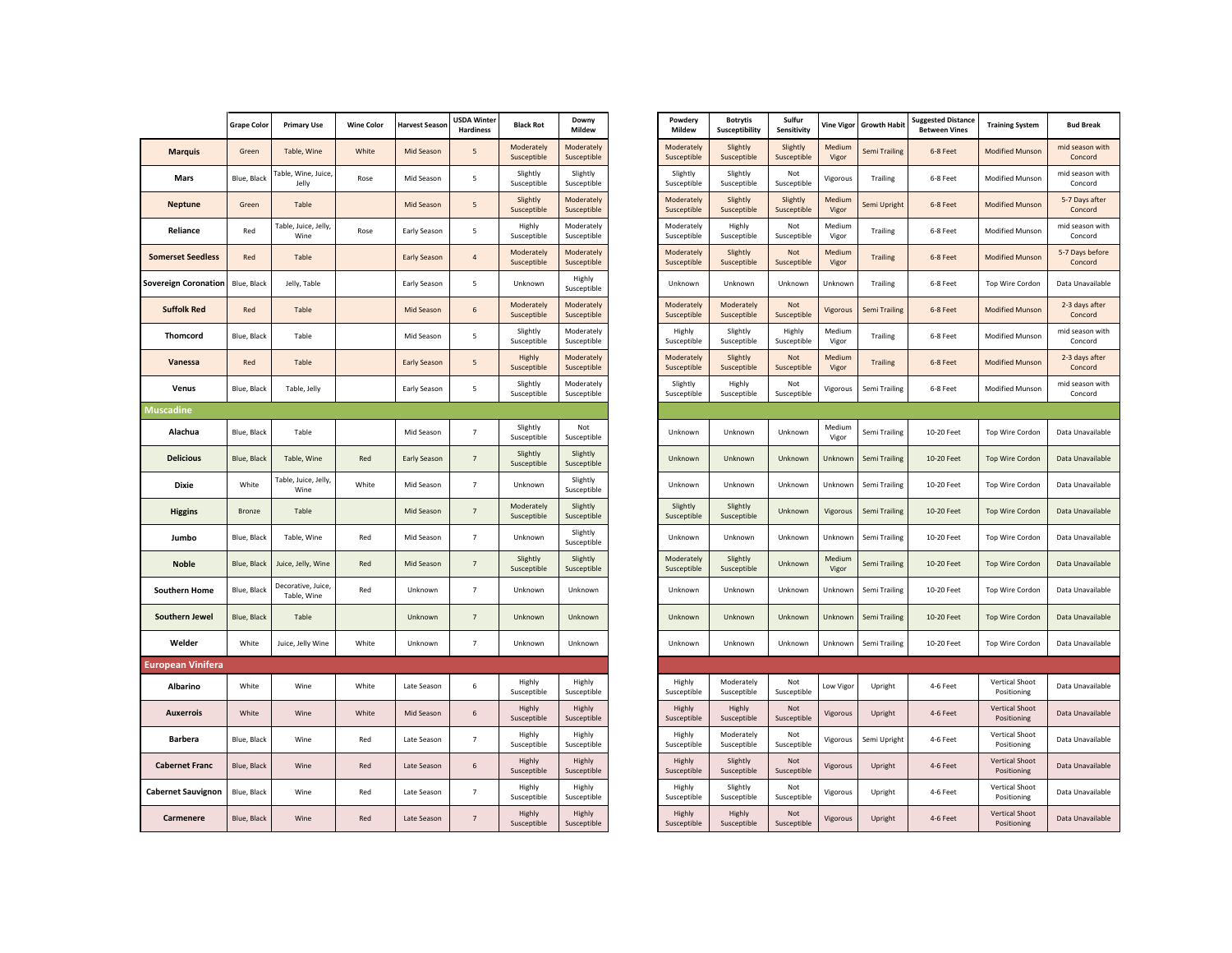|                             | <b>Grape Color</b> | <b>Primary Use</b>                | <b>Wine Color</b> | <b>Harvest Season</b> | <b>USDA Winter</b><br><b>Hardiness</b> | <b>Black Rot</b>          | Downy<br>Mildew           |
|-----------------------------|--------------------|-----------------------------------|-------------------|-----------------------|----------------------------------------|---------------------------|---------------------------|
| <b>Marquis</b>              | Green              | Table, Wine                       | White             | Mid Season            | 5                                      | Moderately<br>Susceptible | Moderately<br>Susceptible |
| <b>Mars</b>                 | Blue, Black        | Table, Wine, Juice,<br>Jelly      | Rose              | Mid Season            | 5                                      | Slightly<br>Susceptible   | Slightly<br>Susceptible   |
| <b>Neptune</b>              | Green              | Table                             |                   | Mid Season            | 5                                      | Slightly<br>Susceptible   | Moderately<br>Susceptible |
| Reliance                    | Red                | Table, Juice, Jelly,<br>Wine      | Rose              | Early Season          | 5                                      | Highly<br>Susceptible     | Moderately<br>Susceptible |
| <b>Somerset Seedless</b>    | Red                | Table                             |                   | <b>Early Season</b>   | $\overline{4}$                         | Moderately<br>Susceptible | Moderately<br>Susceptible |
| <b>Sovereign Coronation</b> | Blue, Black        | Jelly, Table                      |                   | Early Season          | 5                                      | Unknown                   | Highly<br>Susceptible     |
| <b>Suffolk Red</b>          | Red                | Table                             |                   | Mid Season            | 6                                      | Moderately<br>Susceptible | Moderately<br>Susceptible |
| Thomcord                    | Blue, Black        | Table                             |                   | Mid Season            | 5                                      | Slightly<br>Susceptible   | Moderately<br>Susceptible |
| Vanessa                     | Red                | Table                             |                   | <b>Early Season</b>   | 5                                      | Highly<br>Susceptible     | Moderately<br>Susceptible |
| Venus                       | Blue, Black        | Table, Jelly                      |                   | Early Season          | 5                                      | Slightly<br>Susceptible   | Moderately<br>Susceptible |
| <b>Muscadine</b>            |                    |                                   |                   |                       |                                        |                           |                           |
| Alachua                     | Blue, Black        | Table                             |                   | Mid Season            | 7                                      | Slightly<br>Susceptible   | Not<br>Susceptible        |
| <b>Delicious</b>            | Blue, Black        | Table, Wine                       | Red               | Early Season          | $\overline{7}$                         | Slightly<br>Susceptible   | Slightly<br>Susceptible   |
| <b>Dixie</b>                | White              | Table, Juice, Jelly,<br>Wine      | White             | Mid Season            | $\overline{7}$                         | Unknown                   | Slightly<br>Susceptible   |
| <b>Higgins</b>              | <b>Bronze</b>      | Table                             |                   | Mid Season            | $\overline{7}$                         | Moderately<br>Susceptible | Slightly<br>Susceptible   |
| Jumbo                       | Blue, Black        | Table, Wine                       | Red               | Mid Season            | $\overline{7}$                         | Unknown                   | Slightly<br>Susceptible   |
| <b>Noble</b>                | Blue, Black        | Juice, Jelly, Wine                | Red               | Mid Season            | $\overline{7}$                         | Slightly<br>Susceptible   | Slightly<br>Susceptible   |
| <b>Southern Home</b>        | Blue, Black        | Decorative, Juice,<br>Table, Wine | Red               | Unknown               | $\overline{7}$                         | Unknown                   | Unknown                   |
| <b>Southern Jewel</b>       | Blue, Black        | Table                             |                   | Unknown               | 7                                      | Unknown                   | Unknown                   |
| Welder                      | White              | Juice, Jelly Wine                 | White             | Unknown               | $\overline{7}$                         | Unknown                   | Unknown                   |
| European Vinifera           |                    |                                   |                   |                       |                                        |                           |                           |
| Albarino                    | White              | Wine                              | White             | Late Season           | 6                                      | Highly<br>Susceptible     | Highly<br>Susceptible     |
| Auxerrois                   | White              | Wine                              | White             | Mid Season            | 6                                      | Highly<br>Susceptible     | Highly<br>Susceptible     |
| <b>Barbera</b>              | Blue, Black        | Wine                              | Red               | Late Season           | $\overline{7}$                         | Highly<br>Susceptible     | Highly<br>Susceptible     |
| <b>Cabernet Franc</b>       | Blue, Black        | Wine                              | Red               | Late Season           | 6                                      | Highly<br>Susceptible     | Highly<br>Susceptible     |
| <b>Cabernet Sauvignon</b>   | Blue, Black        | Wine                              | Red               | Late Season           | $\overline{7}$                         | Highly<br>Susceptible     | Highly<br>Susceptible     |
| Carmenere                   | Blue, Black        | Wine                              | Red               | Late Season           | $\overline{7}$                         | Highly<br>Susceptible     | Highly<br>Susceptible     |

|                       | <b>Grape Color</b> | <b>Primary Use</b>                | <b>Wine Color</b> | <b>Harvest Season</b> | <b>USDA Winter</b><br><b>Hardiness</b> | <b>Black Rot</b>          | Downy<br>Mildew           | Powdery<br>Mildew         | <b>Botrytis</b><br>Susceptibility | Sulfur<br><b>Sensitivity</b> | <b>Vine Vigor</b> | <b>Growth Habit</b> | <b>Suggested Distance</b><br><b>Between Vines</b> | <b>Training System</b>               | <b>Bud Break</b>           |
|-----------------------|--------------------|-----------------------------------|-------------------|-----------------------|----------------------------------------|---------------------------|---------------------------|---------------------------|-----------------------------------|------------------------------|-------------------|---------------------|---------------------------------------------------|--------------------------------------|----------------------------|
| <b>Marquis</b>        | Green              | Table, Wine                       | White             | Mid Season            | 5                                      | Moderately<br>Susceptible | Moderately<br>Susceptible | Moderately<br>Susceptible | Slightly<br>Susceptible           | Slightly<br>Susceptible      | Medium<br>Vigor   | Semi Trailing       | 6-8 Feet                                          | <b>Modified Munson</b>               | mid season with<br>Concord |
| Mars                  | Blue, Black        | Table, Wine, Juice,<br>Jelly      | Rose              | Mid Season            | 5                                      | Slightly<br>Susceptible   | Slightly<br>Susceptible   | Slightly<br>Susceptible   | Slightly<br>Susceptible           | Not<br>Susceptible           | Vigorous          | Trailing            | 6-8 Feet                                          | <b>Modified Munson</b>               | mid season with<br>Concord |
| <b>Neptune</b>        | Green              | Table                             |                   | Mid Season            | $\sqrt{5}$                             | Slightly<br>Susceptible   | Moderately<br>Susceptible | Moderately<br>Susceptible | Slightly<br>Susceptible           | Slightly<br>Susceptible      | Medium<br>Vigor   | Semi Upright        | 6-8 Feet                                          | <b>Modified Munson</b>               | 5-7 Days after<br>Concord  |
| Reliance              | Red                | Table, Juice, Jelly,<br>Wine      | Rose              | Early Season          | 5                                      | Highly<br>Susceptible     | Moderately<br>Susceptible | Moderately<br>Susceptible | Highly<br>Susceptible             | Not<br>Susceptible           | Medium<br>Vigor   | Trailing            | 6-8 Feet                                          | Modified Munson                      | mid season with<br>Concord |
| omerset Seedless      | Red                | Table                             |                   | Early Season          | $\sqrt{4}$                             | Moderately<br>Susceptible | Moderately<br>Susceptible | Moderately<br>Susceptible | Slightly<br>Susceptible           | Not<br>Susceptible           | Medium<br>Vigor   | <b>Trailing</b>     | 6-8 Feet                                          | <b>Modified Munson</b>               | 5-7 Days before<br>Concord |
| ereign Coronation     | Blue, Black        | Jelly, Table                      |                   | Early Season          | 5                                      | Unknown                   | Highly<br>Susceptible     | Unknown                   | Unknown                           | Unknown                      | Unknown           | Trailing            | 6-8 Feet                                          | Top Wire Cordon                      | Data Unavailable           |
| <b>Suffolk Red</b>    | Red                | Table                             |                   | Mid Season            | $\,$ 6 $\,$                            | Moderately<br>Susceptible | Moderately<br>Susceptible | Moderately<br>Susceptible | Moderately<br>Susceptible         | Not<br>Susceptible           | Vigorous          | Semi Trailing       | 6-8 Feet                                          | <b>Modified Munson</b>               | 2-3 days after<br>Concord  |
| Thomcord              | Blue, Black        | Table                             |                   | Mid Season            | 5                                      | Slightly<br>Susceptible   | Moderately<br>Susceptible | Highly<br>Susceptible     | Slightly<br>Susceptible           | Highly<br>Susceptible        | Medium<br>Vigor   | Trailing            | 6-8 Feet                                          | Modified Munson                      | mid season with<br>Concord |
| Vanessa               | Red                | Table                             |                   | <b>Early Season</b>   | 5                                      | Highly<br>Susceptible     | Moderately<br>Susceptible | Moderately<br>Susceptible | Slightly<br>Susceptible           | Not<br>Susceptible           | Medium<br>Vigor   | <b>Trailing</b>     | 6-8 Feet                                          | <b>Modified Munson</b>               | 2-3 days after<br>Concord  |
| Venus                 | Blue, Black        | Table, Jelly                      |                   | Early Season          | 5                                      | Slightly<br>Susceptible   | Moderately<br>Susceptible | Slightly<br>Susceptible   | Highly<br>Susceptible             | Not<br>Susceptible           | Vigorous          | Semi Trailing       | 6-8 Feet                                          | <b>Modified Munson</b>               | mid season with<br>Concord |
| cadine                |                    |                                   |                   |                       |                                        |                           |                           |                           |                                   |                              |                   |                     |                                                   |                                      |                            |
| Alachua               | Blue, Black        | Table                             |                   | Mid Season            | $\overline{7}$                         | Slightly<br>Susceptible   | Not<br>Susceptible        | Unknown                   | Unknown                           | Unknown                      | Medium<br>Vigor   | Semi Trailing       | 10-20 Feet                                        | Top Wire Cordon                      | Data Unavailable           |
| <b>Delicious</b>      | Blue, Black        | Table, Wine                       | Red               | <b>Early Season</b>   | $\overline{7}$                         | Slightly<br>Susceptible   | Slightly<br>Susceptible   | Unknown                   | Unknown                           | Unknown                      | Unknown           | Semi Trailing       | 10-20 Feet                                        | Top Wire Cordon                      | Data Unavailable           |
| Dixie                 | White              | Table, Juice, Jelly,<br>Wine      | White             | Mid Season            | $\overline{7}$                         | Unknown                   | Slightly<br>Susceptible   | Unknown                   | Unknown                           | Unknown                      | Unknown           | Semi Trailing       | 10-20 Feet                                        | Top Wire Cordon                      | Data Unavailable           |
| <b>Higgins</b>        | Bronze             | Table                             |                   | Mid Season            | $\overline{7}$                         | Moderately<br>Susceptible | Slightly<br>Susceptible   | Slightly<br>Susceptible   | Slightly<br>Susceptible           | Unknown                      | Vigorous          | Semi Trailing       | 10-20 Feet                                        | <b>Top Wire Cordon</b>               | Data Unavailable           |
| Jumbo                 | Blue, Black        | Table, Wine                       | Red               | Mid Season            | $\overline{7}$                         | Unknown                   | Slightly<br>Susceptible   | Unknown                   | Unknown                           | Unknown                      | Unknown           | Semi Trailing       | 10-20 Feet                                        | Top Wire Cordon                      | Data Unavailable           |
| <b>Noble</b>          | Blue, Black        | Juice, Jelly, Wine                | Red               | Mid Season            | $7\overline{ }$                        | Slightly<br>Susceptible   | Slightly<br>Susceptible   | Moderately<br>Susceptible | Slightly<br>Susceptible           | Unknown                      | Medium<br>Vigor   | Semi Trailing       | 10-20 Feet                                        | <b>Top Wire Cordon</b>               | Data Unavailable           |
| Southern Home         | Blue, Black        | Decorative, Juice,<br>Table, Wine | Red               | Unknown               | $\overline{7}$                         | Unknown                   | Unknown                   | Unknown                   | Unknown                           | Unknown                      | Unknown           | Semi Trailing       | 10-20 Feet                                        | Top Wire Cordon                      | Data Unavailable           |
| Southern Jewel        | Blue, Black        | Table                             |                   | Unknown               | $\overline{7}$                         | Unknown                   | Unknown                   | Unknown                   | Unknown                           | Unknown                      | Unknown           | Semi Trailing       | 10-20 Feet                                        | <b>Top Wire Cordon</b>               | Data Unavailable           |
| Welder                | White              | Juice, Jelly Wine                 | White             | Unknown               | $\overline{7}$                         | Unknown                   | Unknown                   | Unknown                   | Unknown                           | Unknown                      | Unknown           | Semi Trailing       | 10-20 Feet                                        | Top Wire Cordon                      | Data Unavailable           |
| ropean Vinifera       |                    |                                   |                   |                       |                                        |                           |                           |                           |                                   |                              |                   |                     |                                                   |                                      |                            |
| Albarino              | White              | Wine                              | White             | Late Season           | 6                                      | Highly<br>Susceptible     | Highly<br>Susceptible     | Highly<br>Susceptible     | Moderately<br>Susceptible         | Not<br>Susceptible           | Low Vigor         | Upright             | 4-6 Feet                                          | Vertical Shoot<br>Positioning        | Data Unavailable           |
| <b>Auxerrois</b>      | White              | Wine                              | White             | Mid Season            | $\,$ 6 $\,$                            | Highly<br>Susceptible     | Highly<br>Susceptible     | Highly<br>Susceptible     | Highly<br>Susceptible             | Not<br>Susceptible           | Vigorous          | Upright             | 4-6 Feet                                          | <b>Vertical Shoot</b><br>Positioning | Data Unavailable           |
| Barbera               | Blue, Black        | Wine                              | Red               | Late Season           | $\overline{7}$                         | Highly<br>Susceptible     | Highly<br>Susceptible     | Highly<br>Susceptible     | Moderately<br>Susceptible         | Not<br>Susceptible           | Vigorous          | Semi Upright        | 4-6 Feet                                          | Vertical Shoot<br>Positioning        | Data Unavailable           |
| <b>Cabernet Franc</b> | Blue, Black        | Wine                              | Red               | Late Season           | 6                                      | Highly<br>Susceptible     | Highly<br>Susceptible     | Highly<br>Susceptible     | Slightly<br>Susceptible           | Not<br>Susceptible           | Vigorous          | Upright             | 4-6 Feet                                          | <b>Vertical Shoot</b><br>Positioning | Data Unavailable           |
| bernet Sauvignon      | Blue, Black        | Wine                              | Red               | Late Season           | $\overline{7}$                         | Highly<br>Susceptible     | Highly<br>Susceptible     | Highly<br>Susceptible     | Slightly<br>Susceptible           | Not<br>Susceptible           | Vigorous          | Upright             | 4-6 Feet                                          | Vertical Shoot<br>Positioning        | Data Unavailable           |
| Carmenere             | Blue, Black        | Wine                              | Red               | Late Season           | $7\overline{ }$                        | Highly<br>Susceptible     | Highly<br>Susceptible     | Highly<br>Susceptible     | Highly<br>Susceptible             | Not<br>Susceptible           | Vigorous          | Upright             | 4-6 Feet                                          | <b>Vertical Shoot</b><br>Positioning | Data Unavailable           |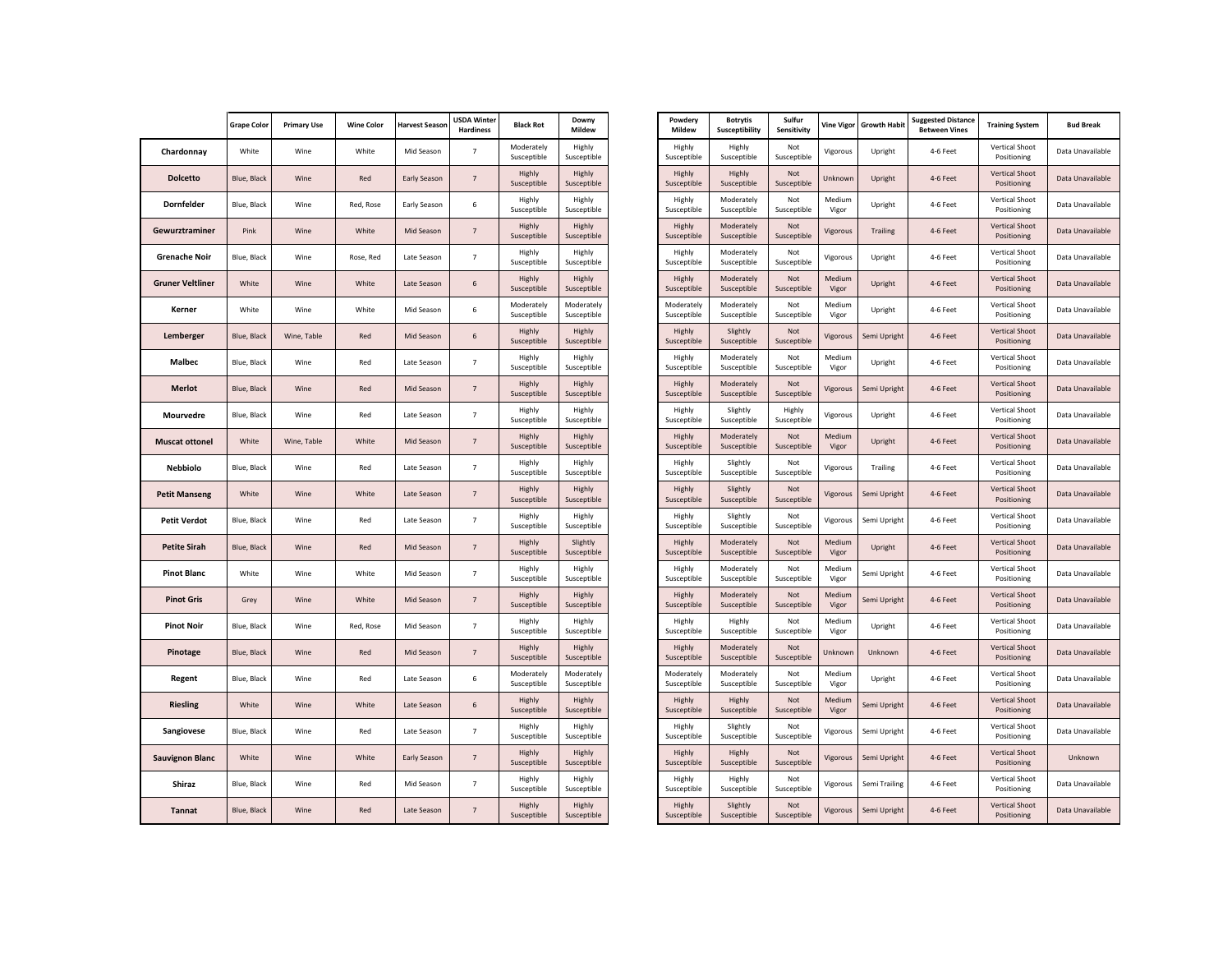|                         | <b>Grape Color</b> | <b>Primary Use</b> | <b>Wine Color</b> | <b>Harvest Season</b> | <b>USDA Winter</b><br><b>Hardiness</b> | <b>Black Rot</b>          | Downy<br>Mildew           |
|-------------------------|--------------------|--------------------|-------------------|-----------------------|----------------------------------------|---------------------------|---------------------------|
| Chardonnay              | White              | Wine               | White             | Mid Season            | $\overline{7}$                         | Moderately<br>Susceptible | Highly<br>Susceptible     |
| <b>Dolcetto</b>         | Blue, Black        | Wine               | Red               | <b>Early Season</b>   | $\overline{7}$                         | Highly<br>Susceptible     | Highly<br>Susceptible     |
| <b>Dornfelder</b>       | Blue, Black        | Wine               | Red, Rose         | Early Season          | 6                                      | Highly<br>Susceptible     | Highly<br>Susceptible     |
| Gewurztraminer          | Pink               | Wine               | White             | Mid Season            | $\overline{7}$                         | Highly<br>Susceptible     | Highly<br>Susceptible     |
| <b>Grenache Noir</b>    | Blue, Black        | Wine               | Rose, Red         | Late Season           | $\overline{7}$                         | Highly<br>Susceptible     | Highly<br>Susceptible     |
| <b>Gruner Veltliner</b> | White              | Wine               | White             | Late Season           | 6                                      | Highly<br>Susceptible     | Highly<br>Susceptible     |
| Kerner                  | White              | Wine               | White             | Mid Season            | 6                                      | Moderately<br>Susceptible | Moderately<br>Susceptible |
| Lemberger               | Blue, Black        | Wine, Table        | Red               | Mid Season            | 6                                      | Highly<br>Susceptible     | Highly<br>Susceptible     |
| <b>Malbec</b>           | Blue, Black        | Wine               | Red               | Late Season           | $\overline{7}$                         | Highly<br>Susceptible     | Highly<br>Susceptible     |
| <b>Merlot</b>           | Blue, Black        | Wine               | Red               | Mid Season            | $\overline{7}$                         | Highly<br>Susceptible     | Highly<br>Susceptible     |
| Mourvedre               | Blue, Black        | Wine               | Red               | Late Season           | $\overline{7}$                         | Highly<br>Susceptible     | Highly<br>Susceptible     |
| <b>Muscat ottonel</b>   | White              | Wine, Table        | White             | Mid Season            | $\overline{7}$                         | Highly<br>Susceptible     | Highly<br>Susceptible     |
| <b>Nebbiolo</b>         | Blue, Black        | Wine               | Red               | Late Season           | $\overline{7}$                         | Highly<br>Susceptible     | Highly<br>Susceptible     |
| <b>Petit Manseng</b>    | White              | Wine               | White             | Late Season           | $\overline{7}$                         | Highly<br>Susceptible     | Highly<br>Susceptible     |
| <b>Petit Verdot</b>     | Blue, Black        | Wine               | Red               | Late Season           | $\overline{7}$                         | Highly<br>Susceptible     | Highly<br>Susceptible     |
| <b>Petite Sirah</b>     | Blue, Black        | Wine               | Red               | <b>Mid Season</b>     | $\overline{7}$                         | Highly<br>Susceptible     | Slightly<br>Susceptible   |
| <b>Pinot Blanc</b>      | White              | Wine               | White             | Mid Season            | $\overline{7}$                         | Highly<br>Susceptible     | Highly<br>Susceptible     |
| <b>Pinot Gris</b>       | Grey               | Wine               | White             | Mid Season            | $\overline{7}$                         | Highly<br>Susceptible     | Highly<br>Susceptible     |
| <b>Pinot Noir</b>       | Blue, Black        | Wine               | Red, Rose         | Mid Season            | $\overline{7}$                         | Highly<br>Susceptible     | Highly<br>Susceptible     |
| Pinotage                | Blue, Black        | Wine               | Red               | Mid Season            | $\overline{7}$                         | Highly<br>Susceptible     | Highly<br>Susceptible     |
| Regent                  | Blue, Black        | Wine               | Red               | Late Season           | 6                                      | Moderately<br>Susceptible | Moderately<br>Susceptible |
| <b>Riesling</b>         | White              | Wine               | White             | Late Season           | 6                                      | Highly<br>Susceptible     | Highly<br>Susceptible     |
| Sangiovese              | Blue, Black        | Wine               | Red               | Late Season           | $\overline{7}$                         | Highly<br>Susceptible     | Highly<br>Susceptible     |
| <b>Sauvignon Blanc</b>  | White              | Wine               | White             | <b>Early Season</b>   | $\overline{7}$                         | Highly<br>Susceptible     | Highly<br>Susceptible     |
| Shiraz                  | Blue, Black        | Wine               | Red               | Mid Season            | $\overline{7}$                         | Highly<br>Susceptible     | Highly<br>Susceptible     |
| <b>Tannat</b>           | Blue, Black        | Wine               | Red               | Late Season           | $\overline{7}$                         | Highly<br>Susceptible     | Highly<br>Susceptible     |

| Powdery<br><b>Mildew</b>  | <b>Botrytis</b><br>Susceptibility | Sulfur<br>Sensitivity     | <b>Vine Vigor</b> | <b>Growth Habit</b> | <b>Suggested Distance</b><br><b>Between Vines</b> | <b>Training System</b>               | <b>Bud Break</b> |
|---------------------------|-----------------------------------|---------------------------|-------------------|---------------------|---------------------------------------------------|--------------------------------------|------------------|
| Highly<br>Susceptible     | Highly<br>Susceptible             | Not<br>Susceptible        | Vigorous          | Upright             | 4-6 Feet                                          | Vertical Shoot<br>Positioning        | Data Unavailable |
| Highly<br>Susceptible     | Highly<br>Susceptible             | Not<br>Susceptible        | Unknown           | Upright             | 4-6 Feet                                          | <b>Vertical Shoot</b><br>Positioning | Data Unavailable |
| Highly<br>Susceptible     | Moderately<br>Susceptible         | Not<br>Susceptible        | Medium<br>Vigor   | Upright             | 4-6 Feet                                          | Vertical Shoot<br>Positioning        | Data Unavailable |
| Highly<br>Susceptible     | Moderately<br>Susceptible         | Not<br>Susceptible        | Vigorous          | <b>Trailing</b>     | 4-6 Feet                                          | <b>Vertical Shoot</b><br>Positioning | Data Unavailable |
| Highly<br>Susceptible     | Moderately<br>Susceptible         | Not<br>Susceptible        | Vigorous          | Upright             | 4-6 Feet                                          | Vertical Shoot<br>Positioning        | Data Unavailable |
| Highly<br>Susceptible     | Moderately<br>Susceptible         | Not<br>Susceptible        | Medium<br>Vigor   | Upright             | 4-6 Feet                                          | <b>Vertical Shoot</b><br>Positioning | Data Unavailable |
| Moderately<br>Susceptible | Moderately<br>Susceptible         | Not<br>Susceptible        | Medium<br>Vigor   | Upright             | 4-6 Feet                                          | Vertical Shoot<br>Positioning        | Data Unavailable |
| Highly<br>Susceptible     | Slightly<br>Susceptible           | Not<br>Susceptible        | Vigorous          | Semi Upright        | 4-6 Feet                                          | <b>Vertical Shoot</b><br>Positioning | Data Unavailable |
| Highly<br>Susceptible     | Moderately<br>Susceptible         | Not<br>Susceptible        | Medium<br>Vigor   | Upright             | 4-6 Feet                                          | Vertical Shoot<br>Positioning        | Data Unavailable |
| Highly<br>Susceptible     | Moderately<br>Susceptible         | Not<br>Susceptible        | Vigorous          | Semi Upright        | 4-6 Feet                                          | <b>Vertical Shoot</b><br>Positioning | Data Unavailable |
| Highly<br>Susceptible     | Slightly<br>Susceptible           | Highly<br>Susceptible     | Vigorous          | Upright             | 4-6 Feet                                          | Vertical Shoot<br>Positioning        | Data Unavailable |
| Highly<br>Susceptible     | Moderately<br>Susceptible         | <b>Not</b><br>Susceptible | Medium<br>Vigor   | Upright             | 4-6 Feet                                          | <b>Vertical Shoot</b><br>Positioning | Data Unavailable |
| Highly<br>Susceptible     | Slightly<br>Susceptible           | Not<br>Susceptible        | Vigorous          | Trailing            | 4-6 Feet                                          | <b>Vertical Shoot</b><br>Positioning | Data Unavailable |
| Highly<br>Susceptible     | Slightly<br>Susceptible           | Not<br>Susceptible        | Vigorous          | Semi Upright        | 4-6 Feet                                          | <b>Vertical Shoot</b><br>Positioning | Data Unavailable |
| Highly<br>Susceptible     | Slightly<br>Susceptible           | Not<br>Susceptible        | Vigorous          | Semi Upright        | 4-6 Feet                                          | Vertical Shoot<br>Positioning        | Data Unavailable |
| Highly<br>Susceptible     | Moderately<br>Susceptible         | Not<br>Susceptible        | Medium<br>Vigor   | Upright             | 4-6 Feet                                          | <b>Vertical Shoot</b><br>Positioning | Data Unavailable |
| Highly<br>Susceptible     | Moderately<br>Susceptible         | Not<br>Susceptible        | Medium<br>Vigor   | Semi Upright        | 4-6 Feet                                          | Vertical Shoot<br>Positioning        | Data Unavailable |
| Highly<br>Susceptible     | Moderately<br>Susceptible         | Not<br>Susceptible        | Medium<br>Vigor   | Semi Upright        | 4-6 Feet                                          | <b>Vertical Shoot</b><br>Positioning | Data Unavailable |
| Highly<br>Susceptible     | Highly<br>Susceptible             | Not<br>Susceptible        | Medium<br>Vigor   | Upright             | 4-6 Feet                                          | Vertical Shoot<br>Positioning        | Data Unavailable |
| Highly<br>Susceptible     | Moderately<br>Susceptible         | Not<br>Susceptible        | Unknown           | Unknown             | 4-6 Feet                                          | <b>Vertical Shoot</b><br>Positioning | Data Unavailable |
| Moderately<br>Susceptible | Moderately<br>Susceptible         | Not<br>Susceptible        | Medium<br>Vigor   | Upright             | 4-6 Feet                                          | Vertical Shoot<br>Positioning        | Data Unavailable |
| Highly<br>Susceptible     | Highly<br>Susceptible             | Not<br>Susceptible        | Medium<br>Vigor   | Semi Upright        | 4-6 Feet                                          | <b>Vertical Shoot</b><br>Positioning | Data Unavailable |
| Highly<br>Susceptible     | Slightly<br>Susceptible           | Not<br>Susceptible        | Vigorous          | Semi Upright        | 4-6 Feet                                          | Vertical Shoot<br>Positioning        | Data Unavailable |
| Highly<br>Susceptible     | Highly<br>Susceptible             | Not<br>Susceptible        | Vigorous          | Semi Upright        | 4-6 Feet                                          | <b>Vertical Shoot</b><br>Positioning | Unknown          |
| Highly<br>Susceptible     | Highly<br>Susceptible             | Not<br>Susceptible        | Vigorous          | Semi Trailing       | 4-6 Feet                                          | Vertical Shoot<br>Positioning        | Data Unavailable |
| Highly<br>Susceptible     | Slightly<br>Susceptible           | Not<br>Susceptible        | Vigorous          | Semi Upright        | 4-6 Feet                                          | <b>Vertical Shoot</b><br>Positioning | Data Unavailable |